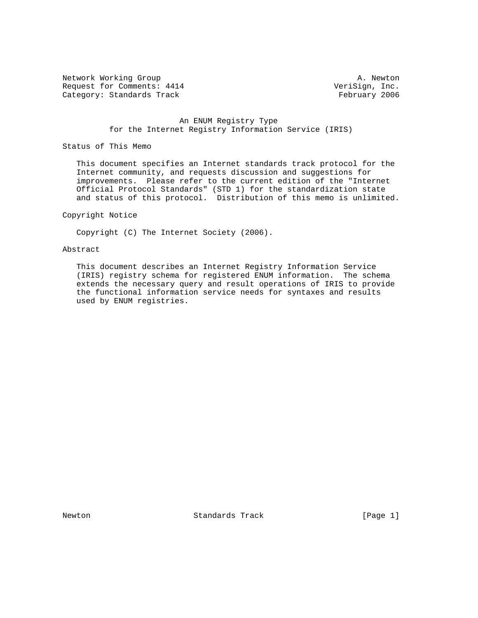Network Working Group and the set of the set of the set of the A. Newton Request for Comments: 4414 VeriSign, Inc. Category: Standards Track February 2006

## An ENUM Registry Type for the Internet Registry Information Service (IRIS)

# Status of This Memo

 This document specifies an Internet standards track protocol for the Internet community, and requests discussion and suggestions for improvements. Please refer to the current edition of the "Internet Official Protocol Standards" (STD 1) for the standardization state and status of this protocol. Distribution of this memo is unlimited.

## Copyright Notice

Copyright (C) The Internet Society (2006).

# Abstract

 This document describes an Internet Registry Information Service (IRIS) registry schema for registered ENUM information. The schema extends the necessary query and result operations of IRIS to provide the functional information service needs for syntaxes and results used by ENUM registries.

Newton **Standards Track** [Page 1]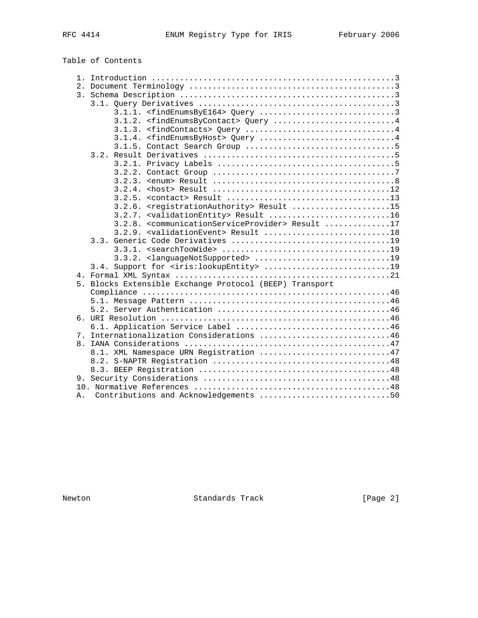|  | Table of Contents                                                |  |
|--|------------------------------------------------------------------|--|
|  |                                                                  |  |
|  |                                                                  |  |
|  |                                                                  |  |
|  |                                                                  |  |
|  | 3.1.1. <findenumsbye164> Query 3</findenumsbye164>               |  |
|  | 3.1.2. <findenumsbycontact> Query 4</findenumsbycontact>         |  |
|  |                                                                  |  |
|  | 3.1.4. <findenumsbyhost> Query 4</findenumsbyhost>               |  |
|  |                                                                  |  |
|  |                                                                  |  |
|  |                                                                  |  |
|  |                                                                  |  |
|  |                                                                  |  |
|  |                                                                  |  |
|  |                                                                  |  |
|  | 3.2.6. <registrationauthority> Result 15</registrationauthority> |  |
|  | 3.2.7. <validationentity> Result 16</validationentity>           |  |
|  | 3.2.8. < communicationServiceProvider> Result 17                 |  |
|  | 3.2.9. <validationevent> Result 18</validationevent>             |  |
|  | 3.3.                                                             |  |
|  |                                                                  |  |
|  |                                                                  |  |
|  |                                                                  |  |
|  |                                                                  |  |
|  | 5. Blocks Extensible Exchange Protocol (BEEP) Transport          |  |
|  |                                                                  |  |
|  |                                                                  |  |
|  |                                                                  |  |
|  |                                                                  |  |
|  |                                                                  |  |
|  | 7. Internationalization Considerations 46                        |  |
|  |                                                                  |  |
|  | 8.1. XML Namespace URN Registration 47                           |  |
|  |                                                                  |  |
|  |                                                                  |  |
|  |                                                                  |  |
|  |                                                                  |  |

Newton Standards Track [Page 2]

A. Contributions and Acknowledgements ............................50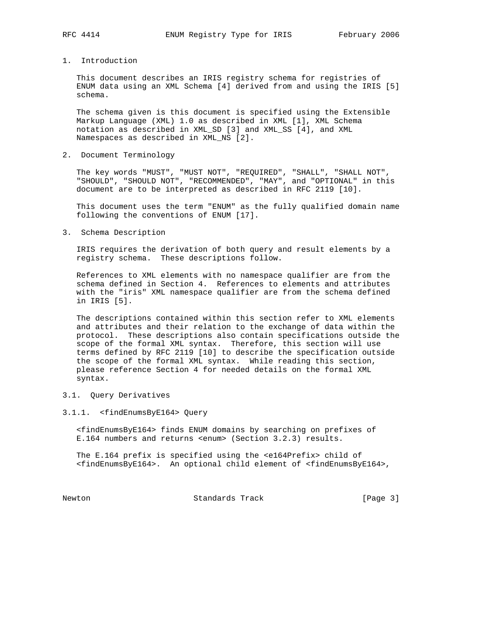1. Introduction

 This document describes an IRIS registry schema for registries of ENUM data using an XML Schema [4] derived from and using the IRIS [5] schema.

 The schema given is this document is specified using the Extensible Markup Language (XML) 1.0 as described in XML [1], XML Schema notation as described in XML\_SD [3] and XML\_SS [4], and XML Namespaces as described in XML\_NS [2].

2. Document Terminology

 The key words "MUST", "MUST NOT", "REQUIRED", "SHALL", "SHALL NOT", "SHOULD", "SHOULD NOT", "RECOMMENDED", "MAY", and "OPTIONAL" in this document are to be interpreted as described in RFC 2119 [10].

 This document uses the term "ENUM" as the fully qualified domain name following the conventions of ENUM [17].

3. Schema Description

 IRIS requires the derivation of both query and result elements by a registry schema. These descriptions follow.

 References to XML elements with no namespace qualifier are from the schema defined in Section 4. References to elements and attributes with the "iris" XML namespace qualifier are from the schema defined in IRIS [5].

 The descriptions contained within this section refer to XML elements and attributes and their relation to the exchange of data within the protocol. These descriptions also contain specifications outside the scope of the formal XML syntax. Therefore, this section will use terms defined by RFC 2119 [10] to describe the specification outside the scope of the formal XML syntax. While reading this section, please reference Section 4 for needed details on the formal XML syntax.

## 3.1. Query Derivatives

3.1.1. <findEnumsByE164> Query

 <findEnumsByE164> finds ENUM domains by searching on prefixes of E.164 numbers and returns <enum> (Section 3.2.3) results.

 The E.164 prefix is specified using the <e164Prefix> child of <findEnumsByE164>. An optional child element of <findEnumsByE164>,

Newton **Standards Track** [Page 3]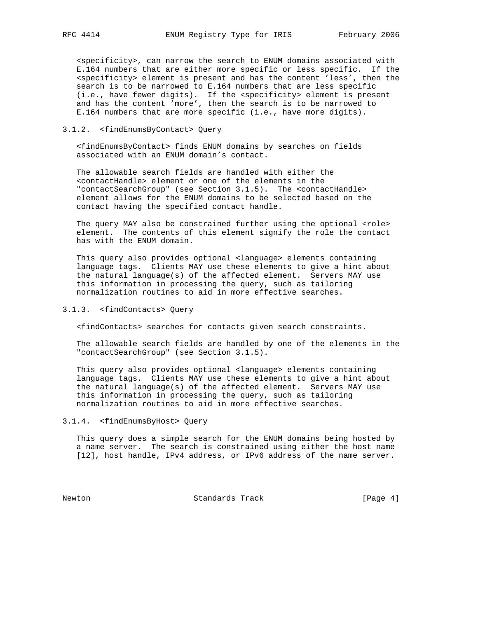<specificity>, can narrow the search to ENUM domains associated with E.164 numbers that are either more specific or less specific. If the <specificity> element is present and has the content 'less', then the search is to be narrowed to E.164 numbers that are less specific (i.e., have fewer digits). If the <specificity> element is present and has the content 'more', then the search is to be narrowed to E.164 numbers that are more specific (i.e., have more digits).

## 3.1.2. <findEnumsByContact> Query

 <findEnumsByContact> finds ENUM domains by searches on fields associated with an ENUM domain's contact.

 The allowable search fields are handled with either the <contactHandle> element or one of the elements in the "contactSearchGroup" (see Section 3.1.5). The <contactHandle> element allows for the ENUM domains to be selected based on the contact having the specified contact handle.

The query MAY also be constrained further using the optional <role> element. The contents of this element signify the role the contact has with the ENUM domain.

This query also provides optional <language> elements containing language tags. Clients MAY use these elements to give a hint about the natural language(s) of the affected element. Servers MAY use this information in processing the query, such as tailoring normalization routines to aid in more effective searches.

# 3.1.3. <findContacts> Query

<findContacts> searches for contacts given search constraints.

 The allowable search fields are handled by one of the elements in the "contactSearchGroup" (see Section 3.1.5).

 This query also provides optional <language> elements containing language tags. Clients MAY use these elements to give a hint about the natural language(s) of the affected element. Servers MAY use this information in processing the query, such as tailoring normalization routines to aid in more effective searches.

# 3.1.4. <findEnumsByHost> Query

 This query does a simple search for the ENUM domains being hosted by a name server. The search is constrained using either the host name [12], host handle, IPv4 address, or IPv6 address of the name server.

Newton Standards Track [Page 4]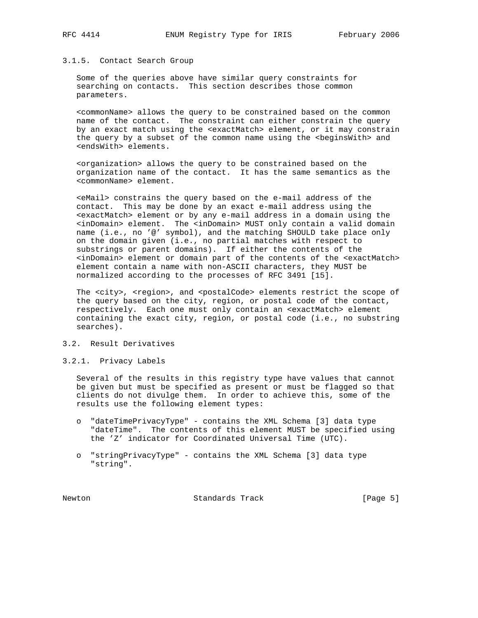#### 3.1.5. Contact Search Group

 Some of the queries above have similar query constraints for searching on contacts. This section describes those common parameters.

 <commonName> allows the query to be constrained based on the common name of the contact. The constraint can either constrain the query by an exact match using the <exactMatch> element, or it may constrain the query by a subset of the common name using the <beginsWith> and <endsWith> elements.

 <organization> allows the query to be constrained based on the organization name of the contact. It has the same semantics as the <commonName> element.

 <eMail> constrains the query based on the e-mail address of the contact. This may be done by an exact e-mail address using the <exactMatch> element or by any e-mail address in a domain using the <inDomain> element. The <inDomain> MUST only contain a valid domain name (i.e., no '@' symbol), and the matching SHOULD take place only on the domain given (i.e., no partial matches with respect to substrings or parent domains). If either the contents of the <inDomain> element or domain part of the contents of the <exactMatch> element contain a name with non-ASCII characters, they MUST be normalized according to the processes of RFC 3491 [15].

The <city>, <region>, and <postalCode> elements restrict the scope of the query based on the city, region, or postal code of the contact, respectively. Each one must only contain an <exactMatch> element containing the exact city, region, or postal code (i.e., no substring searches).

# 3.2. Result Derivatives

### 3.2.1. Privacy Labels

 Several of the results in this registry type have values that cannot be given but must be specified as present or must be flagged so that clients do not divulge them. In order to achieve this, some of the results use the following element types:

- o "dateTimePrivacyType" contains the XML Schema [3] data type "dateTime". The contents of this element MUST be specified using the 'Z' indicator for Coordinated Universal Time (UTC).
- o "stringPrivacyType" contains the XML Schema [3] data type "string".

Newton **Standards Track** [Page 5]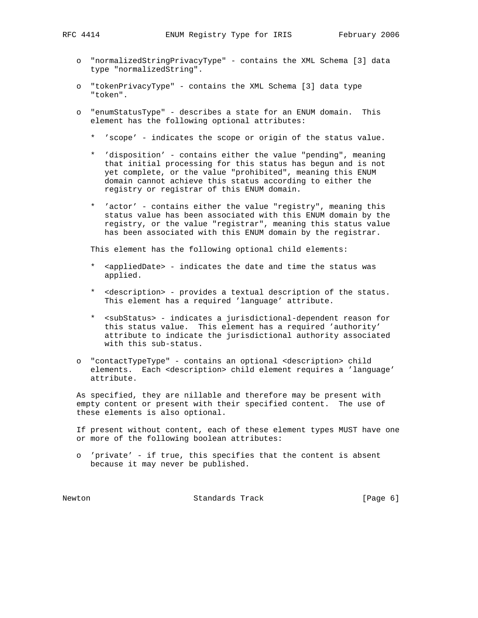- o "normalizedStringPrivacyType" contains the XML Schema [3] data type "normalizedString".
- o "tokenPrivacyType" contains the XML Schema [3] data type "token".
- o "enumStatusType" describes a state for an ENUM domain. This element has the following optional attributes:
	- \* 'scope' indicates the scope or origin of the status value.
	- 'disposition' contains either the value "pending", meaning that initial processing for this status has begun and is not yet complete, or the value "prohibited", meaning this ENUM domain cannot achieve this status according to either the registry or registrar of this ENUM domain.
	- \* 'actor' contains either the value "registry", meaning this status value has been associated with this ENUM domain by the registry, or the value "registrar", meaning this status value has been associated with this ENUM domain by the registrar.

This element has the following optional child elements:

- \* <appliedDate> indicates the date and time the status was applied.
- \* <description> provides a textual description of the status. This element has a required 'language' attribute.
- \* <subStatus> indicates a jurisdictional-dependent reason for this status value. This element has a required 'authority' attribute to indicate the jurisdictional authority associated with this sub-status.
- o "contactTypeType" contains an optional <description> child elements. Each <description> child element requires a 'language' attribute.

 As specified, they are nillable and therefore may be present with empty content or present with their specified content. The use of these elements is also optional.

 If present without content, each of these element types MUST have one or more of the following boolean attributes:

 o 'private' - if true, this specifies that the content is absent because it may never be published.

Newton **Standards Track** [Page 6]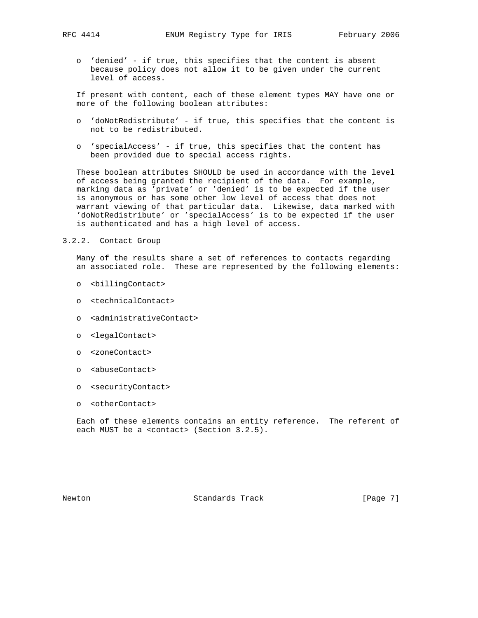- - o 'denied' if true, this specifies that the content is absent because policy does not allow it to be given under the current level of access.

 If present with content, each of these element types MAY have one or more of the following boolean attributes:

- o 'doNotRedistribute' if true, this specifies that the content is not to be redistributed.
- o 'specialAccess' if true, this specifies that the content has been provided due to special access rights.

 These boolean attributes SHOULD be used in accordance with the level of access being granted the recipient of the data. For example, marking data as 'private' or 'denied' is to be expected if the user is anonymous or has some other low level of access that does not warrant viewing of that particular data. Likewise, data marked with 'doNotRedistribute' or 'specialAccess' is to be expected if the user is authenticated and has a high level of access.

## 3.2.2. Contact Group

 Many of the results share a set of references to contacts regarding an associated role. These are represented by the following elements:

- o <billingContact>
- o <technicalContact>
- o <administrativeContact>
- o <legalContact>
- o <zoneContact>
- o <abuseContact>
- o <securityContact>
- o <otherContact>

 Each of these elements contains an entity reference. The referent of each MUST be a <contact> (Section 3.2.5).

Newton **Standards Track** [Page 7]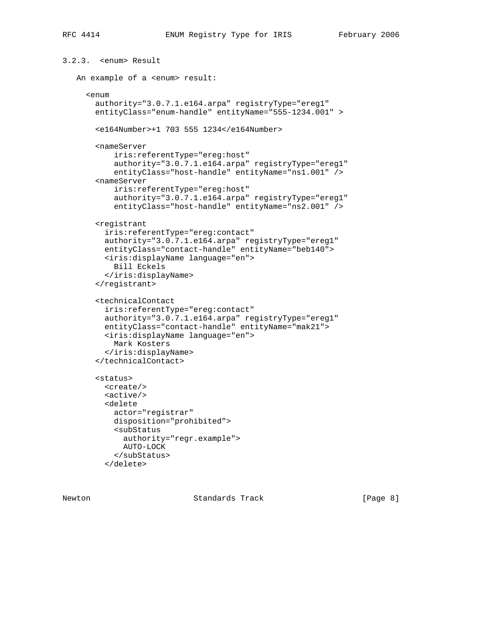```
3.2.3. <enum> Result
    An example of a <enum> result:
      <enum
        authority="3.0.7.1.e164.arpa" registryType="ereg1"
        entityClass="enum-handle" entityName="555-1234.001" >
        <e164Number>+1 703 555 1234</e164Number>
        <nameServer
            iris:referentType="ereg:host"
            authority="3.0.7.1.e164.arpa" registryType="ereg1"
            entityClass="host-handle" entityName="ns1.001" />
        <nameServer
            iris:referentType="ereg:host"
            authority="3.0.7.1.e164.arpa" registryType="ereg1"
            entityClass="host-handle" entityName="ns2.001" />
        <registrant
          iris:referentType="ereg:contact"
          authority="3.0.7.1.e164.arpa" registryType="ereg1"
          entityClass="contact-handle" entityName="beb140">
          <iris:displayName language="en">
            Bill Eckels
          </iris:displayName>
        </registrant>
        <technicalContact
          iris:referentType="ereg:contact"
          authority="3.0.7.1.e164.arpa" registryType="ereg1"
          entityClass="contact-handle" entityName="mak21">
          <iris:displayName language="en">
            Mark Kosters
          </iris:displayName>
        </technicalContact>
        <status>
          <create/>
          <active/>
          <delete
            actor="registrar"
            disposition="prohibited">
            <subStatus
             authority="regr.example">
              AUTO-LOCK
            </subStatus>
          </delete>
```
Newton **Standards Track** [Page 8]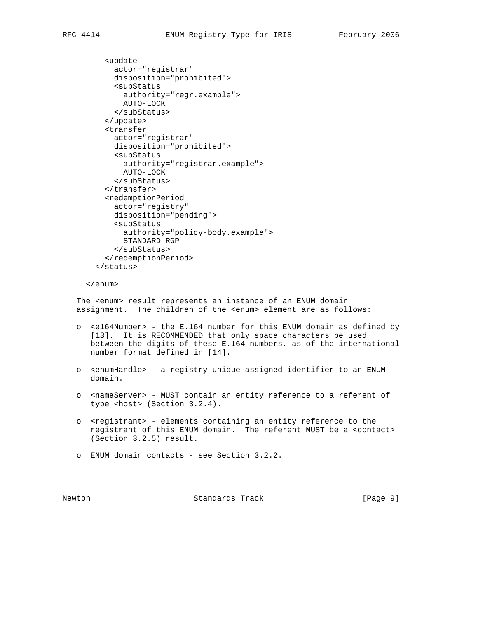```
 <update
     actor="registrar"
     disposition="prohibited">
     <subStatus
       authority="regr.example">
       AUTO-LOCK
     </subStatus>
   </update>
   <transfer
     actor="registrar"
     disposition="prohibited">
     <subStatus
       authority="registrar.example">
       AUTO-LOCK
     </subStatus>
   </transfer>
   <redemptionPeriod
     actor="registry"
     disposition="pending">
     <subStatus
       authority="policy-body.example">
       STANDARD RGP
     </subStatus>
   </redemptionPeriod>
 </status>
```
</enum>

 The <enum> result represents an instance of an ENUM domain assignment. The children of the <enum> element are as follows:

- o <e164Number> the E.164 number for this ENUM domain as defined by [13]. It is RECOMMENDED that only space characters be used between the digits of these E.164 numbers, as of the international number format defined in [14].
- o <enumHandle> a registry-unique assigned identifier to an ENUM domain.
- o <nameServer> MUST contain an entity reference to a referent of type <host> (Section 3.2.4).
- o <registrant> elements containing an entity reference to the registrant of this ENUM domain. The referent MUST be a <contact> (Section 3.2.5) result.
- o ENUM domain contacts see Section 3.2.2.

Newton **Standards Track** [Page 9]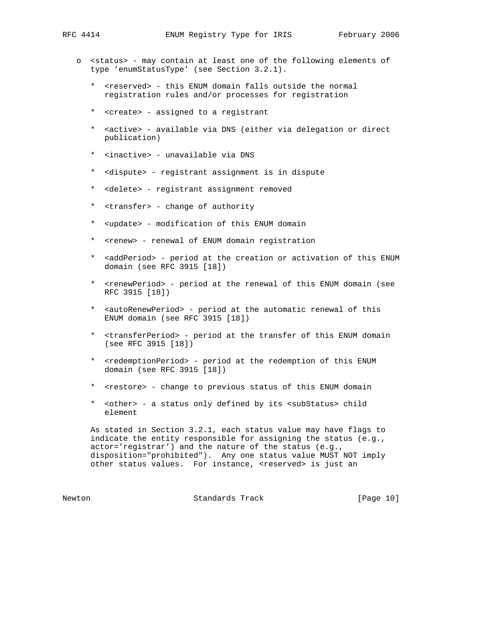- o <status> may contain at least one of the following elements of type 'enumStatusType' (see Section 3.2.1).
	- \* <reserved> this ENUM domain falls outside the normal registration rules and/or processes for registration
	- \* <create> assigned to a registrant
	- \* <active> available via DNS (either via delegation or direct publication)
	- \* <inactive> unavailable via DNS
	- \* <dispute> registrant assignment is in dispute
	- \* <delete> registrant assignment removed
	- \* <transfer> change of authority
	- \* <update> modification of this ENUM domain
	- \* <renew> renewal of ENUM domain registration
	- \* <addPeriod> period at the creation or activation of this ENUM domain (see RFC 3915 [18])
	- \* <renewPeriod> period at the renewal of this ENUM domain (see RFC 3915 [18])
	- \* <autoRenewPeriod> period at the automatic renewal of this ENUM domain (see RFC 3915 [18])
	- \* <transferPeriod> period at the transfer of this ENUM domain (see RFC 3915 [18])
	- \* <redemptionPeriod> period at the redemption of this ENUM domain (see RFC 3915 [18])
	- \* <restore> change to previous status of this ENUM domain
	- \* <other> a status only defined by its <subStatus> child element

 As stated in Section 3.2.1, each status value may have flags to indicate the entity responsible for assigning the status (e.g., actor='registrar') and the nature of the status (e.g., disposition="prohibited"). Any one status value MUST NOT imply other status values. For instance, <reserved> is just an

Newton Standards Track [Page 10]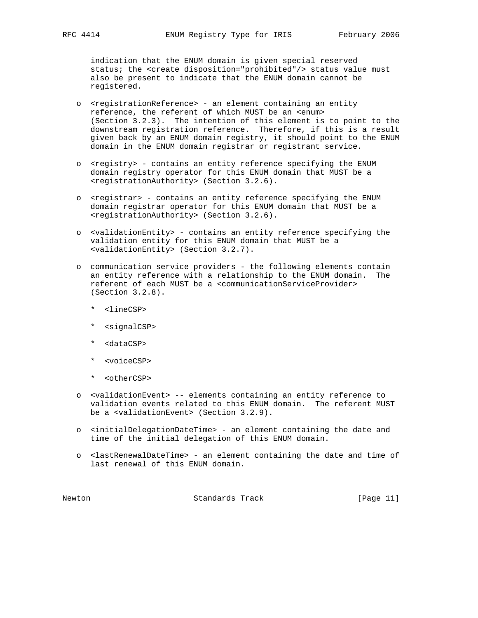indication that the ENUM domain is given special reserved status; the <create disposition="prohibited"/> status value must also be present to indicate that the ENUM domain cannot be registered.

- o <registrationReference> an element containing an entity reference, the referent of which MUST be an <enum> (Section 3.2.3). The intention of this element is to point to the downstream registration reference. Therefore, if this is a result given back by an ENUM domain registry, it should point to the ENUM domain in the ENUM domain registrar or registrant service.
- o <registry> contains an entity reference specifying the ENUM domain registry operator for this ENUM domain that MUST be a <registrationAuthority> (Section 3.2.6).
- o <registrar> contains an entity reference specifying the ENUM domain registrar operator for this ENUM domain that MUST be a <registrationAuthority> (Section 3.2.6).
- o <validationEntity> contains an entity reference specifying the validation entity for this ENUM domain that MUST be a <validationEntity> (Section 3.2.7).
- o communication service providers the following elements contain an entity reference with a relationship to the ENUM domain. The referent of each MUST be a <communicationServiceProvider> (Section 3.2.8).
	- \* <lineCSP>
	- \* <signalCSP>
	- \* <dataCSP>
	- \* <voiceCSP>
	- \* <otherCSP>
- o <validationEvent> -- elements containing an entity reference to validation events related to this ENUM domain. The referent MUST be a <validationEvent> (Section 3.2.9).
- o <initialDelegationDateTime> an element containing the date and time of the initial delegation of this ENUM domain.
- o <lastRenewalDateTime> an element containing the date and time of last renewal of this ENUM domain.

Newton **Standards Track** [Page 11]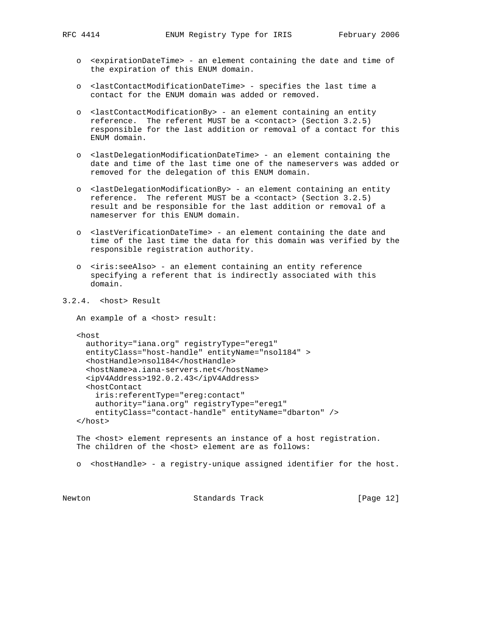- o <expirationDateTime> an element containing the date and time of the expiration of this ENUM domain.
- o <lastContactModificationDateTime> specifies the last time a contact for the ENUM domain was added or removed.
- o <lastContactModificationBy> an element containing an entity reference. The referent MUST be a <contact> (Section 3.2.5) responsible for the last addition or removal of a contact for this ENUM domain.
- o <lastDelegationModificationDateTime> an element containing the date and time of the last time one of the nameservers was added or removed for the delegation of this ENUM domain.
- o <lastDelegationModificationBy> an element containing an entity reference. The referent MUST be a <contact> (Section 3.2.5) result and be responsible for the last addition or removal of a nameserver for this ENUM domain.
- o <lastVerificationDateTime> an element containing the date and time of the last time the data for this domain was verified by the responsible registration authority.
- o <iris:seeAlso> an element containing an entity reference specifying a referent that is indirectly associated with this domain.
- 3.2.4. <host> Result

```
An example of a <host> result:
```
<host

```
 authority="iana.org" registryType="ereg1"
  entityClass="host-handle" entityName="nsol184" >
   <hostHandle>nsol184</hostHandle>
   <hostName>a.iana-servers.net</hostName>
   <ipV4Address>192.0.2.43</ipV4Address>
   <hostContact
     iris:referentType="ereg:contact"
     authority="iana.org" registryType="ereg1"
     entityClass="contact-handle" entityName="dbarton" />
 </host>
```
The <host> element represents an instance of a host registration. The children of the <host> element are as follows:

o <hostHandle> - a registry-unique assigned identifier for the host.

Newton **Standards Track** [Page 12]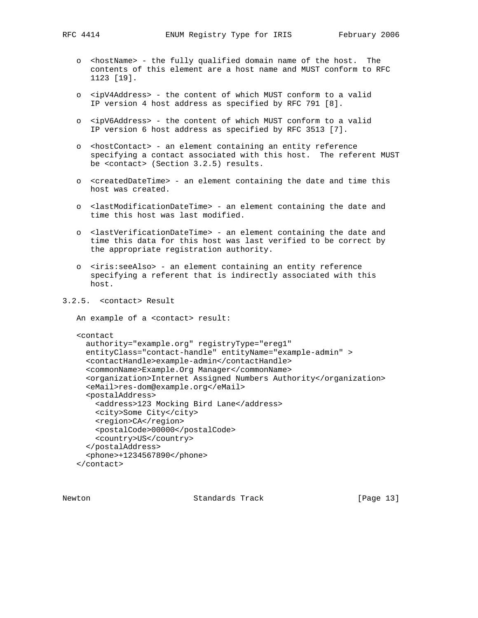- o <hostName> the fully qualified domain name of the host. The contents of this element are a host name and MUST conform to RFC 1123 [19].
- o <ipV4Address> the content of which MUST conform to a valid IP version 4 host address as specified by RFC 791 [8].
- o <ipV6Address> the content of which MUST conform to a valid IP version 6 host address as specified by RFC 3513 [7].
- o <hostContact> an element containing an entity reference specifying a contact associated with this host. The referent MUST be <contact> (Section 3.2.5) results.
- o <createdDateTime> an element containing the date and time this host was created.
- o <lastModificationDateTime> an element containing the date and time this host was last modified.
- o <lastVerificationDateTime> an element containing the date and time this data for this host was last verified to be correct by the appropriate registration authority.
- o <iris:seeAlso> an element containing an entity reference specifying a referent that is indirectly associated with this host.

# 3.2.5. <contact> Result

```
 An example of a <contact> result:
```

```
 <contact
  authority="example.org" registryType="ereg1"
  entityClass="contact-handle" entityName="example-admin" >
   <contactHandle>example-admin</contactHandle>
   <commonName>Example.Org Manager</commonName>
   <organization>Internet Assigned Numbers Authority</organization>
   <eMail>res-dom@example.org</eMail>
   <postalAddress>
    <address>123 Mocking Bird Lane</address>
    <city>Some City</city>
    <region>CA</region>
     <postalCode>00000</postalCode>
     <country>US</country>
   </postalAddress>
   <phone>+1234567890</phone>
```

```
 </contact>
```
Newton **Standards Track** [Page 13]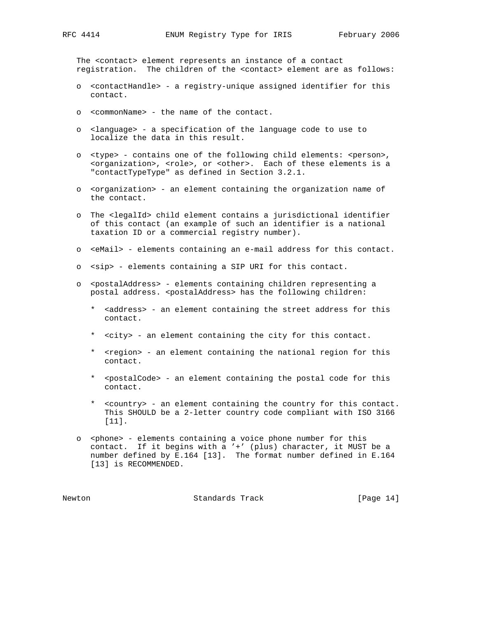The <contact> element represents an instance of a contact registration. The children of the <contact> element are as follows:

- o <contactHandle> a registry-unique assigned identifier for this contact.
- o <commonName> the name of the contact.
- o <language> a specification of the language code to use to localize the data in this result.
- o <type> contains one of the following child elements: <person>, <organization>, <role>, or <other>. Each of these elements is a "contactTypeType" as defined in Section 3.2.1.
- o <organization> an element containing the organization name of the contact.
- o The <legalId> child element contains a jurisdictional identifier of this contact (an example of such an identifier is a national taxation ID or a commercial registry number).
- o <eMail> elements containing an e-mail address for this contact.
- o <sip> elements containing a SIP URI for this contact.
- o <postalAddress> elements containing children representing a postal address. <postalAddress> has the following children:
	- \* <address> an element containing the street address for this contact.
	- \* <city> an element containing the city for this contact.
	- \* <region> an element containing the national region for this contact.
	- \* <postalCode> an element containing the postal code for this contact.
	- \* <country> an element containing the country for this contact. This SHOULD be a 2-letter country code compliant with ISO 3166 [11].
- o <phone> elements containing a voice phone number for this contact. If it begins with a '+' (plus) character, it MUST be a number defined by E.164 [13]. The format number defined in E.164 [13] is RECOMMENDED.

Newton Standards Track [Page 14]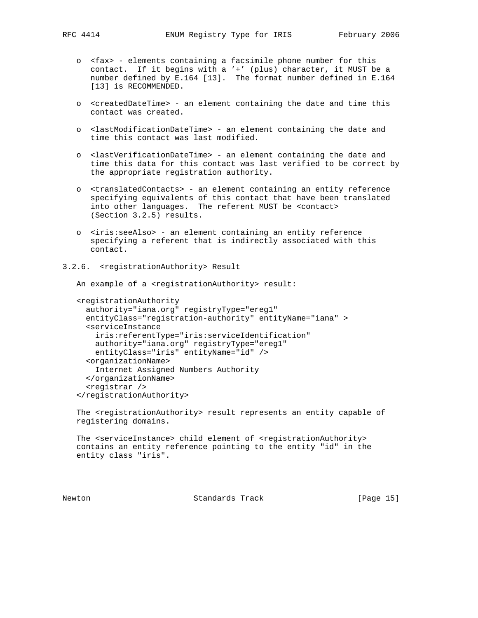- o <fax> elements containing a facsimile phone number for this contact. If it begins with a '+' (plus) character, it MUST be a number defined by E.164 [13]. The format number defined in E.164 [13] is RECOMMENDED.
	- o <createdDateTime> an element containing the date and time this contact was created.
	- o <lastModificationDateTime> an element containing the date and time this contact was last modified.
	- o <lastVerificationDateTime> an element containing the date and time this data for this contact was last verified to be correct by the appropriate registration authority.
	- o <translatedContacts> an element containing an entity reference specifying equivalents of this contact that have been translated into other languages. The referent MUST be <contact> (Section 3.2.5) results.
	- o <iris:seeAlso> an element containing an entity reference specifying a referent that is indirectly associated with this contact.
- 3.2.6. <registrationAuthority> Result

An example of a <registrationAuthority> result:

```
 <registrationAuthority
  authority="iana.org" registryType="ereg1"
  entityClass="registration-authority" entityName="iana" >
   <serviceInstance
    iris:referentType="iris:serviceIdentification"
    authority="iana.org" registryType="ereg1"
    entityClass="iris" entityName="id" />
   <organizationName>
    Internet Assigned Numbers Authority
   </organizationName>
   <registrar />
 </registrationAuthority>
```
The <registrationAuthority> result represents an entity capable of registering domains.

```
The <serviceInstance> child element of <registrationAuthority>
 contains an entity reference pointing to the entity "id" in the
 entity class "iris".
```
Newton **Standards Track** [Page 15]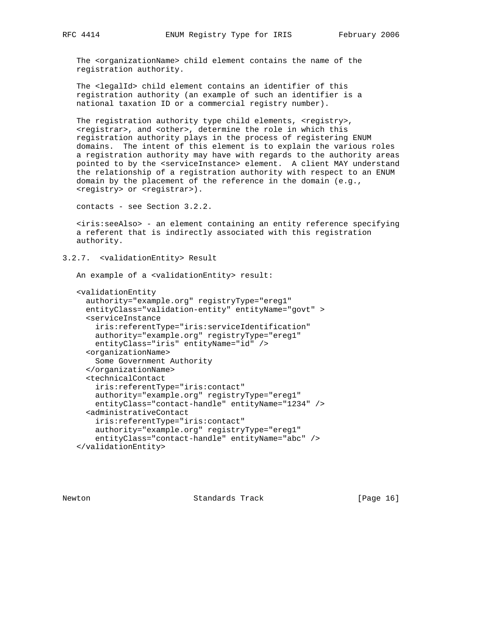The <organizationName> child element contains the name of the registration authority.

 The <legalId> child element contains an identifier of this registration authority (an example of such an identifier is a national taxation ID or a commercial registry number).

The registration authority type child elements, <registry>, <registrar>, and <other>, determine the role in which this registration authority plays in the process of registering ENUM domains. The intent of this element is to explain the various roles a registration authority may have with regards to the authority areas pointed to by the <serviceInstance> element. A client MAY understand the relationship of a registration authority with respect to an ENUM domain by the placement of the reference in the domain (e.g., <registry> or <registrar>).

contacts - see Section 3.2.2.

 <iris:seeAlso> - an element containing an entity reference specifying a referent that is indirectly associated with this registration authority.

3.2.7. <validationEntity> Result

An example of a <validationEntity> result:

```
 <validationEntity
  authority="example.org" registryType="ereg1"
  entityClass="validation-entity" entityName="govt" >
   <serviceInstance
     iris:referentType="iris:serviceIdentification"
     authority="example.org" registryType="ereg1"
    entityClass="iris" entityName="id" />
   <organizationName>
    Some Government Authority
   </organizationName>
   <technicalContact
     iris:referentType="iris:contact"
     authority="example.org" registryType="ereg1"
     entityClass="contact-handle" entityName="1234" />
   <administrativeContact
     iris:referentType="iris:contact"
     authority="example.org" registryType="ereg1"
     entityClass="contact-handle" entityName="abc" />
 </validationEntity>
```
Newton **Standards Track** [Page 16]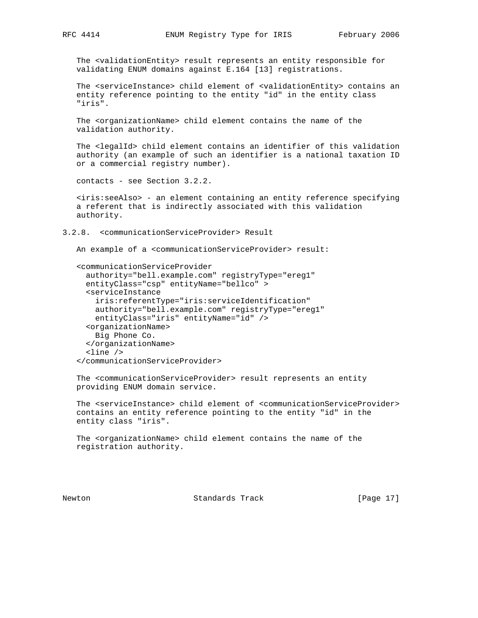The <validationEntity> result represents an entity responsible for validating ENUM domains against E.164 [13] registrations.

 The <serviceInstance> child element of <validationEntity> contains an entity reference pointing to the entity "id" in the entity class "iris".

 The <organizationName> child element contains the name of the validation authority.

 The <legalId> child element contains an identifier of this validation authority (an example of such an identifier is a national taxation ID or a commercial registry number).

contacts - see Section 3.2.2.

 <iris:seeAlso> - an element containing an entity reference specifying a referent that is indirectly associated with this validation authority.

3.2.8. <communicationServiceProvider> Result

An example of a <communicationServiceProvider> result:

```
 <communicationServiceProvider
  authority="bell.example.com" registryType="ereg1"
  entityClass="csp" entityName="bellco" >
   <serviceInstance
     iris:referentType="iris:serviceIdentification"
    authority="bell.example.com" registryType="ereg1"
    entityClass="iris" entityName="id" />
   <organizationName>
    Big Phone Co.
   </organizationName>
   <line />
 </communicationServiceProvider>
```
 The <communicationServiceProvider> result represents an entity providing ENUM domain service.

 The <serviceInstance> child element of <communicationServiceProvider> contains an entity reference pointing to the entity "id" in the entity class "iris".

 The <organizationName> child element contains the name of the registration authority.

Newton **Standards Track** [Page 17]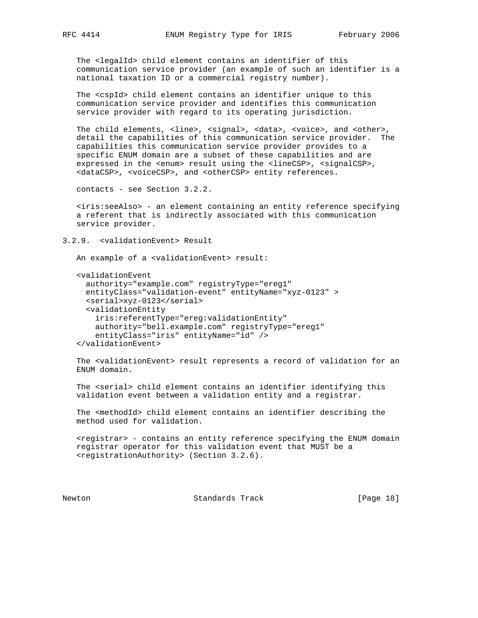The <legalId> child element contains an identifier of this communication service provider (an example of such an identifier is a national taxation ID or a commercial registry number).

 The <cspId> child element contains an identifier unique to this communication service provider and identifies this communication service provider with regard to its operating jurisdiction.

The child elements, <line>, <signal>, <data>, <voice>, and <other>, detail the capabilities of this communication service provider. The capabilities this communication service provider provides to a specific ENUM domain are a subset of these capabilities and are expressed in the <enum> result using the <lineCSP>, <signalCSP>, <dataCSP>, <voiceCSP>, and <otherCSP> entity references.

contacts - see Section 3.2.2.

 <iris:seeAlso> - an element containing an entity reference specifying a referent that is indirectly associated with this communication service provider.

3.2.9. <validationEvent> Result

An example of a <validationEvent> result:

```
 <validationEvent
   authority="example.com" registryType="ereg1"
  entityClass="validation-event" entityName="xyz-0123" >
   <serial>xyz-0123</serial>
   <validationEntity
    iris:referentType="ereg:validationEntity"
    authority="bell.example.com" registryType="ereg1"
     entityClass="iris" entityName="id" />
 </validationEvent>
```
 The <validationEvent> result represents a record of validation for an ENUM domain.

 The <serial> child element contains an identifier identifying this validation event between a validation entity and a registrar.

 The <methodId> child element contains an identifier describing the method used for validation.

 <registrar> - contains an entity reference specifying the ENUM domain registrar operator for this validation event that MUST be a <registrationAuthority> (Section 3.2.6).

Newton Standards Track [Page 18]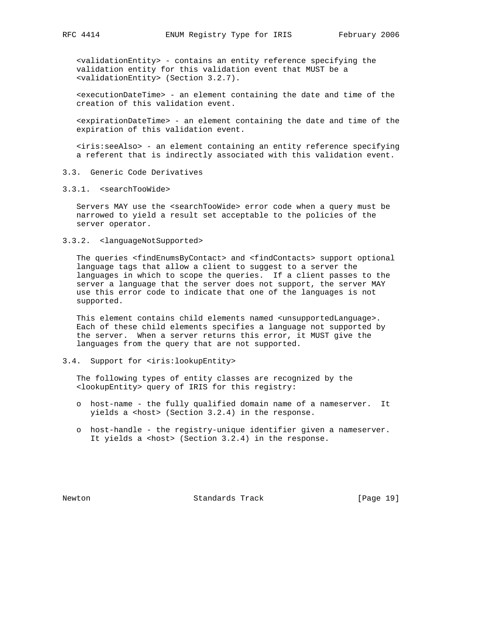<validationEntity> - contains an entity reference specifying the validation entity for this validation event that MUST be a <validationEntity> (Section 3.2.7).

 <executionDateTime> - an element containing the date and time of the creation of this validation event.

 <expirationDateTime> - an element containing the date and time of the expiration of this validation event.

 <iris:seeAlso> - an element containing an entity reference specifying a referent that is indirectly associated with this validation event.

- 3.3. Generic Code Derivatives
- 3.3.1. <searchTooWide>

 Servers MAY use the <searchTooWide> error code when a query must be narrowed to yield a result set acceptable to the policies of the server operator.

3.3.2. <languageNotSupported>

 The queries <findEnumsByContact> and <findContacts> support optional language tags that allow a client to suggest to a server the languages in which to scope the queries. If a client passes to the server a language that the server does not support, the server MAY use this error code to indicate that one of the languages is not supported.

This element contains child elements named <unsupportedLanguage>. Each of these child elements specifies a language not supported by the server. When a server returns this error, it MUST give the languages from the query that are not supported.

3.4. Support for <iris:lookupEntity>

 The following types of entity classes are recognized by the <lookupEntity> query of IRIS for this registry:

- o host-name the fully qualified domain name of a nameserver. It yields a <host> (Section 3.2.4) in the response.
- o host-handle the registry-unique identifier given a nameserver. It yields a <host> (Section 3.2.4) in the response.

Newton Standards Track [Page 19]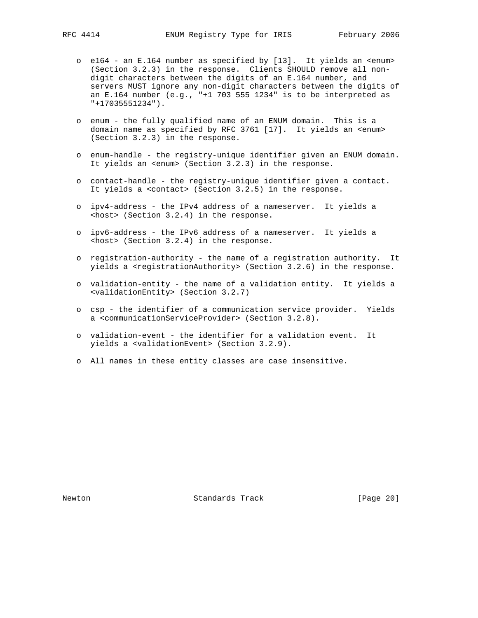- o e164 an E.164 number as specified by [13]. It yields an <enum> (Section 3.2.3) in the response. Clients SHOULD remove all non digit characters between the digits of an E.164 number, and servers MUST ignore any non-digit characters between the digits of an E.164 number (e.g., "+1 703 555 1234" is to be interpreted as "+17035551234").
- o enum the fully qualified name of an ENUM domain. This is a domain name as specified by RFC 3761 [17]. It yields an <enum> (Section 3.2.3) in the response.
- o enum-handle the registry-unique identifier given an ENUM domain. It yields an <enum> (Section 3.2.3) in the response.
- o contact-handle the registry-unique identifier given a contact. It yields a <contact> (Section 3.2.5) in the response.
- o ipv4-address the IPv4 address of a nameserver. It yields a <host> (Section 3.2.4) in the response.
- o ipv6-address the IPv6 address of a nameserver. It yields a <host> (Section 3.2.4) in the response.
- o registration-authority the name of a registration authority. It yields a <registrationAuthority> (Section 3.2.6) in the response.
- o validation-entity the name of a validation entity. It yields a <validationEntity> (Section 3.2.7)
- o csp the identifier of a communication service provider. Yields a <communicationServiceProvider> (Section 3.2.8).
- o validation-event the identifier for a validation event. It yields a <validationEvent> (Section 3.2.9).
- o All names in these entity classes are case insensitive.

Newton **Standards Track** [Page 20]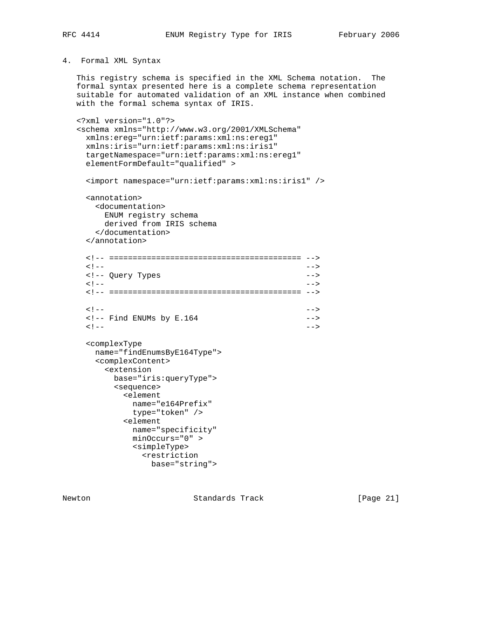# 4. Formal XML Syntax

 This registry schema is specified in the XML Schema notation. The formal syntax presented here is a complete schema representation suitable for automated validation of an XML instance when combined with the formal schema syntax of IRIS.

```
 <?xml version="1.0"?>
   <schema xmlns="http://www.w3.org/2001/XMLSchema"
    xmlns:ereg="urn:ietf:params:xml:ns:ereg1"
    xmlns:iris="urn:ietf:params:xml:ns:iris1"
    targetNamespace="urn:ietf:params:xml:ns:ereg1"
    elementFormDefault="qualified" >
    <import namespace="urn:ietf:params:xml:ns:iris1" />
    <annotation>
      <documentation>
       ENUM registry schema
       derived from IRIS schema
      </documentation>
    </annotation>
    <!-- ========================================= -->
\langle | -- | <!-- Query Types -->
\langle | -- | <!-- ========================================= -->
\langle | -- | <!-- Find ENUMs by E.164 -->
\langle | -- | <complexType
      name="findEnumsByE164Type">
      <complexContent>
        <extension
         base="iris:queryType">
         <sequence>
           <element
            name="e164Prefix"
            type="token" />
           <element
            name="specificity"
            minOccurs="0" >
            <simpleType>
              <restriction
                base="string">
```
Newton **Standards Track** [Page 21]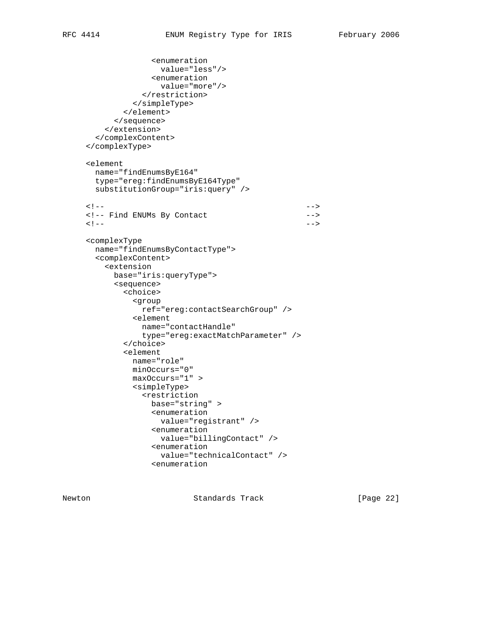```
 <enumeration
                    value="less"/>
                  <enumeration
                    value="more"/>
                </restriction>
               </simpleType>
             </element>
           </sequence>
         </extension>
       </complexContent>
     </complexType>
     <element
       name="findEnumsByE164"
       type="ereg:findEnumsByE164Type"
       substitutionGroup="iris:query" />
\langle | -- | <!-- Find ENUMs By Contact -->
\langle | -- | <complexType
       name="findEnumsByContactType">
       <complexContent>
         <extension
           base="iris:queryType">
           <sequence>
             <choice>
               <group
                ref="ereg:contactSearchGroup" />
              <element
               name="contactHandle"
                type="ereg:exactMatchParameter" />
             </choice>
             <element
              name="role"
              minOccurs="0"
              maxOccurs="1" >
              <simpleType>
                <restriction
                  base="string" >
                  <enumeration
                    value="registrant" />
                  <enumeration
                    value="billingContact" />
                  <enumeration
                    value="technicalContact" />
                  <enumeration
```
Newton **Standards Track** [Page 22]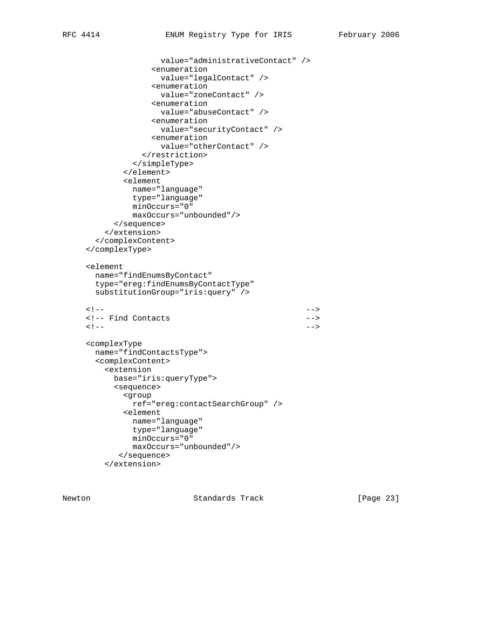```
 value="administrativeContact" />
                  <enumeration
                    value="legalContact" />
                  <enumeration
                    value="zoneContact" />
                  <enumeration
                    value="abuseContact" />
                  <enumeration
                    value="securityContact" />
                  <enumeration
                    value="otherContact" />
                </restriction>
              </simpleType>
             </element>
             <element
              name="language"
              type="language"
              minOccurs="0"
              maxOccurs="unbounded"/>
           </sequence>
         </extension>
       </complexContent>
     </complexType>
     <element
       name="findEnumsByContact"
       type="ereg:findEnumsByContactType"
       substitutionGroup="iris:query" />
\langle | -- | <!-- Find Contacts -->
\langle | -- | <complexType
       name="findContactsType">
       <complexContent>
         <extension
          base="iris:queryType">
           <sequence>
            <group
              ref="ereg:contactSearchGroup" />
            <element
              name="language"
              type="language"
              minOccurs="0"
              maxOccurs="unbounded"/>
            </sequence>
         </extension>
```
Newton **Standards Track** [Page 23]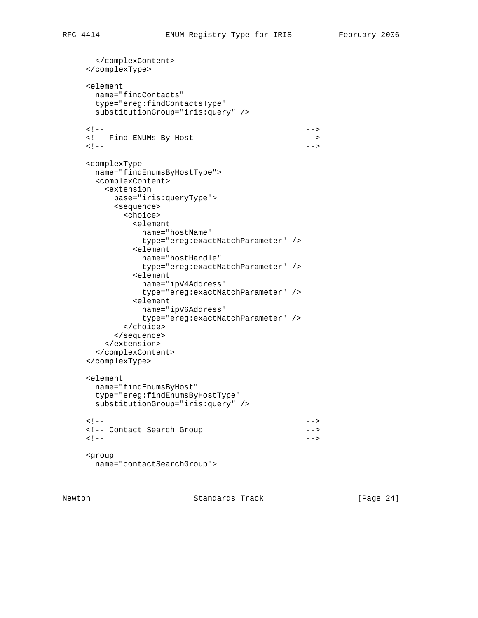```
 </complexContent>
     </complexType>
     <element
      name="findContacts"
      type="ereg:findContactsType"
      substitutionGroup="iris:query" />
\langle | -- | <!-- Find ENUMs By Host -->
\langle | -- | <complexType
      name="findEnumsByHostType">
      <complexContent>
        <extension
         base="iris:queryType">
         <sequence>
           <choice>
             <element
              name="hostName"
              type="ereg:exactMatchParameter" />
             <element
              name="hostHandle"
              type="ereg:exactMatchParameter" />
             <element
              name="ipV4Address"
               type="ereg:exactMatchParameter" />
             <element
              name="ipV6Address"
              type="ereg:exactMatchParameter" />
           </choice>
          </sequence>
        </extension>
      </complexContent>
     </complexType>
     <element
      name="findEnumsByHost"
      type="ereg:findEnumsByHostType"
      substitutionGroup="iris:query" />
\langle | -- | <!-- Contact Search Group -->
\langle | -- | <group
      name="contactSearchGroup">
```
Newton **Standards Track** [Page 24]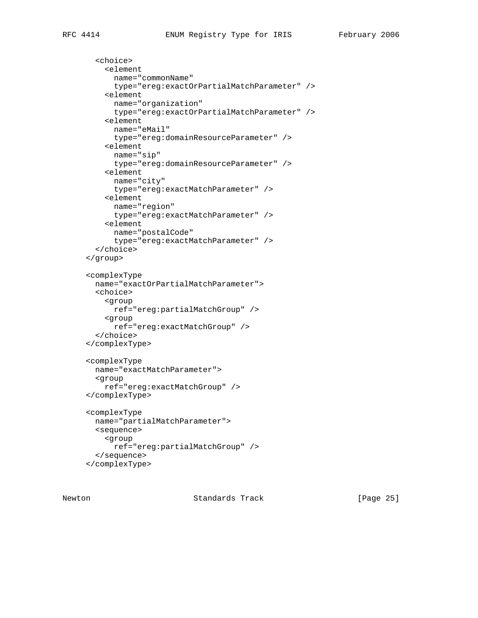```
 <choice>
   <element
     name="commonName"
     type="ereg:exactOrPartialMatchParameter" />
   <element
    name="organization"
     type="ereg:exactOrPartialMatchParameter" />
   <element
    name="eMail"
    type="ereg:domainResourceParameter" />
   <element
    name="sip"
```
 type="ereg:domainResourceParameter" /> <element name="city" type="ereg:exactMatchParameter" /> <element name="region" type="ereg:exactMatchParameter" /> <element name="postalCode" type="ereg:exactMatchParameter" /> </choice> </group> <complexType name="exactOrPartialMatchParameter"> <choice> <group ref="ereg:partialMatchGroup" /> <group ref="ereg:exactMatchGroup" /> </choice> </complexType>

```
 <complexType
  name="exactMatchParameter">
   <group
     ref="ereg:exactMatchGroup" />
 </complexType>
 <complexType
  name="partialMatchParameter">
  <sequence>
```

```
 <group
      ref="ereg:partialMatchGroup" />
   </sequence>
 </complexType>
```
Newton **Standards Track** [Page 25]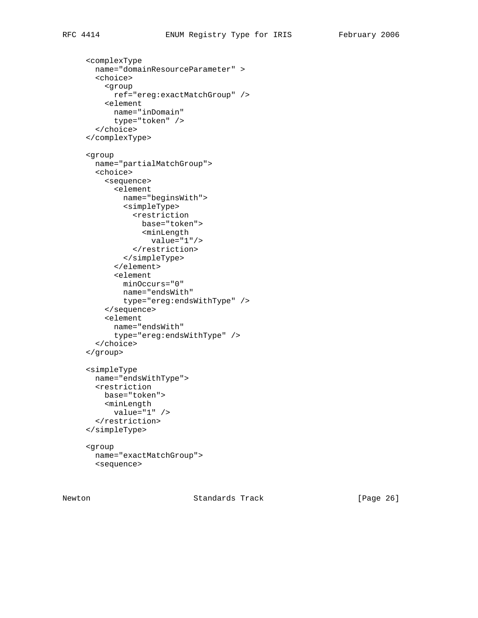```
 <complexType
  name="domainResourceParameter" >
   <choice>
     <group
       ref="ereg:exactMatchGroup" />
     <element
       name="inDomain"
       type="token" />
   </choice>
 </complexType>
 <group
  name="partialMatchGroup">
   <choice>
     <sequence>
       <element
        name="beginsWith">
         <simpleType>
           <restriction
             base="token">
             <minLength
               value="1"/>
           </restriction>
         </simpleType>
       </element>
       <element
         minOccurs="0"
         name="endsWith"
         type="ereg:endsWithType" />
     </sequence>
     <element
       name="endsWith"
       type="ereg:endsWithType" />
   </choice>
 </group>
 <simpleType
  name="endsWithType">
  <restriction
    base="token">
    <minLength
       value="1" />
   </restriction>
 </simpleType>
 <group
  name="exactMatchGroup">
  <sequence>
```
Newton **Standards Track** [Page 26]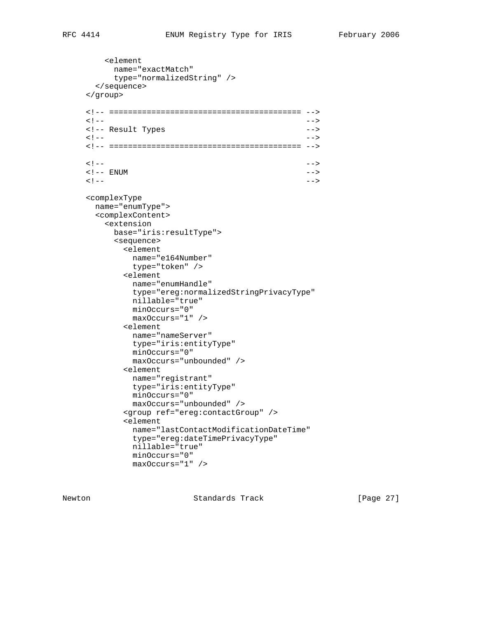<element name="exactMatch" type="normalizedString" /> </sequence> </group> <!-- ========================================= -->  $\langle$   $|$  --  $|$  <!-- Result Types -->  $\langle$   $|$  --  $|$  <!-- ========================================= -->  $\langle$   $|$  --  $|$ < ! -- ENUM -->  $\langle$   $|$  --  $|$  <complexType name="enumType"> <complexContent> <extension base="iris:resultType"> <sequence> <element name="e164Number" type="token" /> <element name="enumHandle" type="ereg:normalizedStringPrivacyType" nillable="true" minOccurs="0" maxOccurs="1" /> <element name="nameServer" type="iris:entityType" minOccurs="0" maxOccurs="unbounded" /> <element name="registrant" type="iris:entityType" minOccurs="0" maxOccurs="unbounded" /> <group ref="ereg:contactGroup" /> <element name="lastContactModificationDateTime" type="ereg:dateTimePrivacyType" nillable="true" minOccurs="0" maxOccurs="1" />

Newton **Standards Track** [Page 27]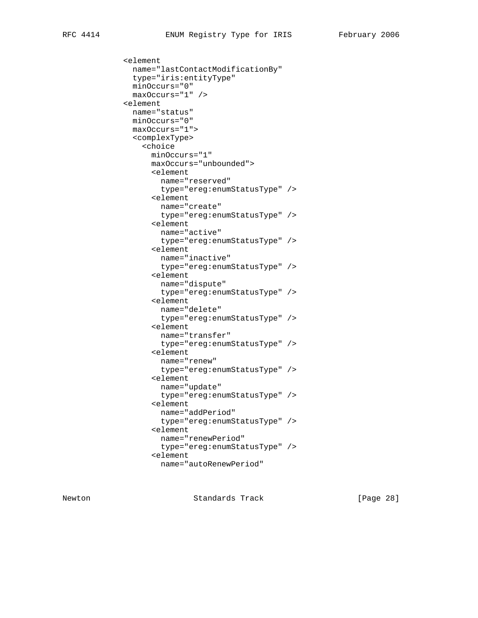```
 <element
   name="lastContactModificationBy"
   type="iris:entityType"
  minOccurs="0"
   maxOccurs="1" />
 <element
  name="status"
  minOccurs="0"
   maxOccurs="1">
   <complexType>
     <choice
       minOccurs="1"
       maxOccurs="unbounded">
       <element
         name="reserved"
         type="ereg:enumStatusType" />
       <element
         name="create"
         type="ereg:enumStatusType" />
       <element
        name="active"
         type="ereg:enumStatusType" />
       <element
        name="inactive"
         type="ereg:enumStatusType" />
       <element
         name="dispute"
         type="ereg:enumStatusType" />
       <element
        name="delete"
         type="ereg:enumStatusType" />
       <element
         name="transfer"
         type="ereg:enumStatusType" />
       <element
         name="renew"
         type="ereg:enumStatusType" />
       <element
         name="update"
         type="ereg:enumStatusType" />
       <element
         name="addPeriod"
         type="ereg:enumStatusType" />
       <element
        name="renewPeriod"
         type="ereg:enumStatusType" />
       <element
         name="autoRenewPeriod"
```
Newton **Standards Track** [Page 28]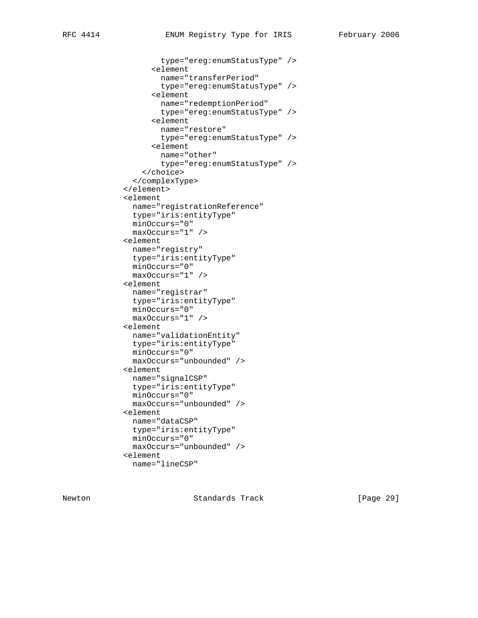type="ereg:enumStatusType" /> <element name="transferPeriod" type="ereg:enumStatusType" /> <element name="redemptionPeriod" type="ereg:enumStatusType" /> <element name="restore" type="ereg:enumStatusType" /> <element name="other" type="ereg:enumStatusType" /> </choice> </complexType> </element> <element name="registrationReference" type="iris:entityType" minOccurs="0" maxOccurs="1" /> <element name="registry" type="iris:entityType" minOccurs="0" maxOccurs="1" /> <element name="registrar" type="iris:entityType" minOccurs="0" maxOccurs="1" /> <element name="validationEntity" type="iris:entityType" minOccurs="0" maxOccurs="unbounded" /> <element name="signalCSP" type="iris:entityType" minOccurs="0" maxOccurs="unbounded" /> <element name="dataCSP" type="iris:entityType" minOccurs="0" maxOccurs="unbounded" /> <element name="lineCSP"

Newton **Standards Track** [Page 29]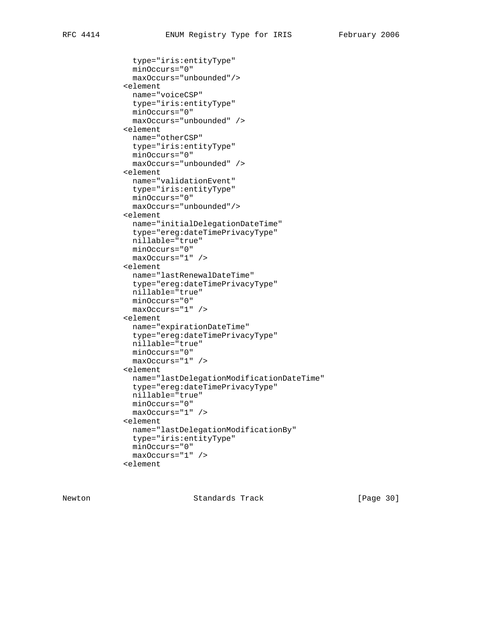```
 type="iris:entityType"
   minOccurs="0"
   maxOccurs="unbounded"/>
 <element
  name="voiceCSP"
  type="iris:entityType"
  minOccurs="0"
  maxOccurs="unbounded" />
 <element
  name="otherCSP"
   type="iris:entityType"
  minOccurs="0"
  maxOccurs="unbounded" />
 <element
  name="validationEvent"
   type="iris:entityType"
  minOccurs="0"
   maxOccurs="unbounded"/>
 <element
  name="initialDelegationDateTime"
  type="ereg:dateTimePrivacyType"
  nillable="true"
  minOccurs="0"
  maxOccurs="1" />
 <element
   name="lastRenewalDateTime"
   type="ereg:dateTimePrivacyType"
  nillable="true"
   minOccurs="0"
   maxOccurs="1" />
 <element
  name="expirationDateTime"
  type="ereg:dateTimePrivacyType"
  nillable="true"
  minOccurs="0"
  maxOccurs="1" />
 <element
   name="lastDelegationModificationDateTime"
   type="ereg:dateTimePrivacyType"
   nillable="true"
  minOccurs="0"
   maxOccurs="1" />
 <element
  name="lastDelegationModificationBy"
  type="iris:entityType"
  minOccurs="0"
  maxOccurs="1" />
 <element
```
Newton **Standards Track** [Page 30]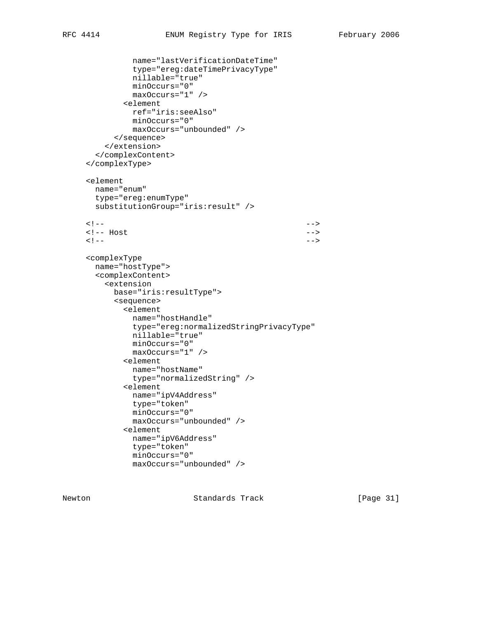```
 name="lastVerificationDateTime"
              type="ereg:dateTimePrivacyType"
              nillable="true"
              minOccurs="0"
              maxOccurs="1" />
            <element
              ref="iris:seeAlso"
              minOccurs="0"
              maxOccurs="unbounded" />
           </sequence>
         </extension>
       </complexContent>
     </complexType>
     <element
       name="enum"
       type="ereg:enumType"
       substitutionGroup="iris:result" />
\langle | -- | <!-- Host -->
\langle | -- | <complexType
       name="hostType">
       <complexContent>
         <extension
          base="iris:resultType">
          <sequence>
            <element
              name="hostHandle"
              type="ereg:normalizedStringPrivacyType"
              nillable="true"
              minOccurs="0"
              maxOccurs="1" />
            <element
              name="hostName"
              type="normalizedString" />
            <element
              name="ipV4Address"
              type="token"
              minOccurs="0"
              maxOccurs="unbounded" />
             <element
              name="ipV6Address"
              type="token"
              minOccurs="0"
              maxOccurs="unbounded" />
```
Newton **Standards Track** [Page 31]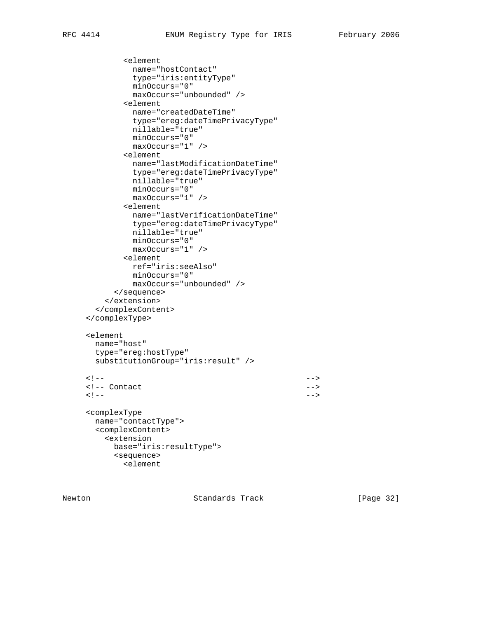```
 <element
              name="hostContact"
              type="iris:entityType"
              minOccurs="0"
              maxOccurs="unbounded" />
            <element
              name="createdDateTime"
              type="ereg:dateTimePrivacyType"
              nillable="true"
              minOccurs="0"
              maxOccurs="1" />
            <element
              name="lastModificationDateTime"
              type="ereg:dateTimePrivacyType"
              nillable="true"
              minOccurs="0"
              maxOccurs="1" />
            <element
              name="lastVerificationDateTime"
              type="ereg:dateTimePrivacyType"
              nillable="true"
              minOccurs="0"
              maxOccurs="1" />
            <element
              ref="iris:seeAlso"
              minOccurs="0"
              maxOccurs="unbounded" />
          </sequence>
         </extension>
       </complexContent>
     </complexType>
     <element
      name="host"
       type="ereg:hostType"
       substitutionGroup="iris:result" />
\langle | -- |<!-- Contact -->
\langle | -- | <complexType
      name="contactType">
       <complexContent>
         <extension
          base="iris:resultType">
          <sequence>
            <element
```
Newton **Standards Track** [Page 32]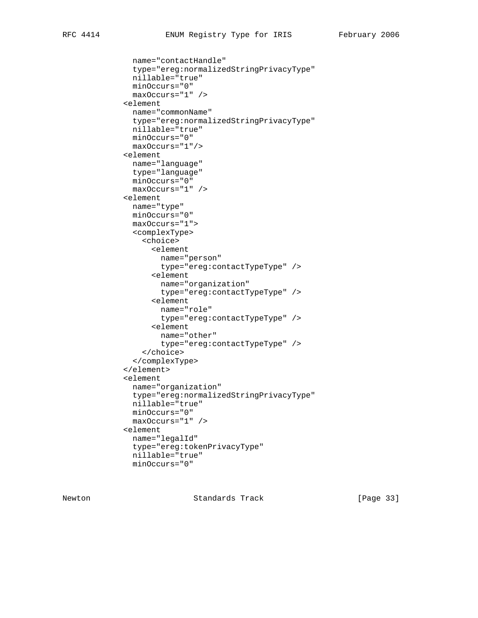```
 name="contactHandle"
   type="ereg:normalizedStringPrivacyType"
   nillable="true"
  minOccurs="0"
   maxOccurs="1" />
 <element
  name="commonName"
  type="ereg:normalizedStringPrivacyType"
  nillable="true"
  minOccurs="0"
  maxOccurs="1"/>
 <element
   name="language"
   type="language"
  minOccurs="0"
   maxOccurs="1" />
 <element
  name="type"
  minOccurs="0"
  maxOccurs="1">
   <complexType>
     <choice>
       <element
        name="person"
         type="ereg:contactTypeType" />
       <element
         name="organization"
         type="ereg:contactTypeType" />
       <element
        name="role"
         type="ereg:contactTypeType" />
       <element
         name="other"
         type="ereg:contactTypeType" />
     </choice>
   </complexType>
 </element>
 <element
   name="organization"
   type="ereg:normalizedStringPrivacyType"
   nillable="true"
  minOccurs="0"
  maxOccurs="1" />
 <element
  name="legalId"
   type="ereg:tokenPrivacyType"
  nillable="true"
  minOccurs="0"
```
Newton **Standards Track** [Page 33]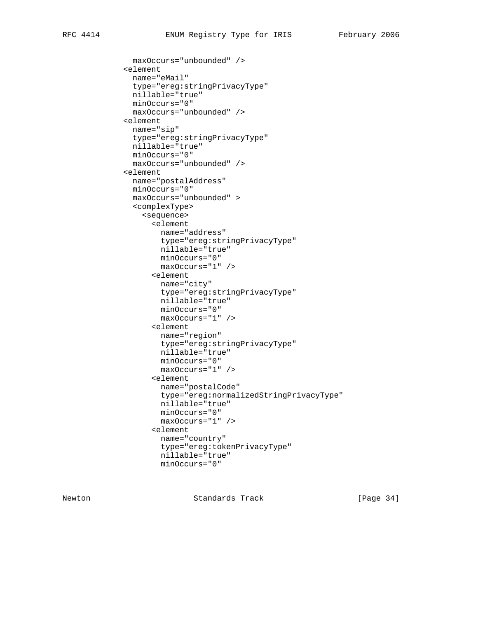maxOccurs="unbounded" /> <element name="eMail" type="ereg:stringPrivacyType" nillable="true" minOccurs="0" maxOccurs="unbounded" /> <element name="sip" type="ereg:stringPrivacyType" nillable="true" minOccurs="0" maxOccurs="unbounded" /> <element name="postalAddress" minOccurs="0" maxOccurs="unbounded" > <complexType> <sequence> <element name="address" type="ereg:stringPrivacyType" nillable="true" minOccurs="0" maxOccurs="1" /> <element name="city" type="ereg:stringPrivacyType" nillable="true" minOccurs="0" maxOccurs="1" /> <element name="region" type="ereg:stringPrivacyType" nillable="true" minOccurs="0" maxOccurs="1" /> <element name="postalCode" type="ereg:normalizedStringPrivacyType" nillable="true" minOccurs="0" maxOccurs="1" /> <element name="country" type="ereg:tokenPrivacyType" nillable="true" minOccurs="0"

Newton **Standards Track** [Page 34]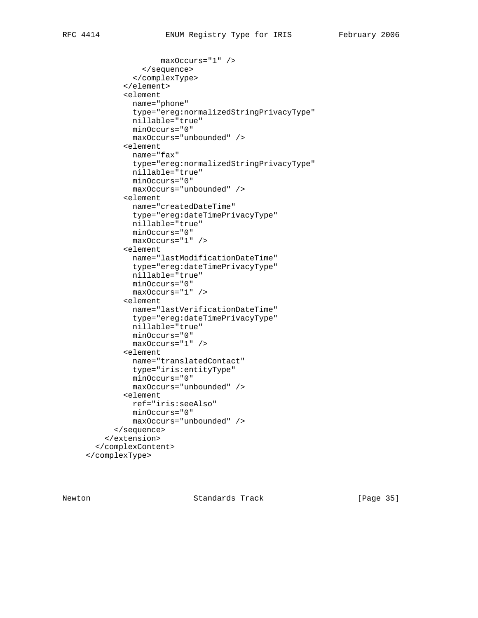```
 maxOccurs="1" />
             </sequence>
           </complexType>
         </element>
         <element
           name="phone"
           type="ereg:normalizedStringPrivacyType"
           nillable="true"
           minOccurs="0"
           maxOccurs="unbounded" />
         <element
           name="fax"
           type="ereg:normalizedStringPrivacyType"
           nillable="true"
           minOccurs="0"
           maxOccurs="unbounded" />
         <element
           name="createdDateTime"
           type="ereg:dateTimePrivacyType"
           nillable="true"
           minOccurs="0"
           maxOccurs="1" />
         <element
           name="lastModificationDateTime"
           type="ereg:dateTimePrivacyType"
           nillable="true"
           minOccurs="0"
           maxOccurs="1" />
         <element
           name="lastVerificationDateTime"
           type="ereg:dateTimePrivacyType"
           nillable="true"
           minOccurs="0"
           maxOccurs="1" />
         <element
           name="translatedContact"
           type="iris:entityType"
           minOccurs="0"
           maxOccurs="unbounded" />
         <element
           ref="iris:seeAlso"
           minOccurs="0"
           maxOccurs="unbounded" />
       </sequence>
     </extension>
   </complexContent>
 </complexType>
```
Newton **Standards Track** [Page 35]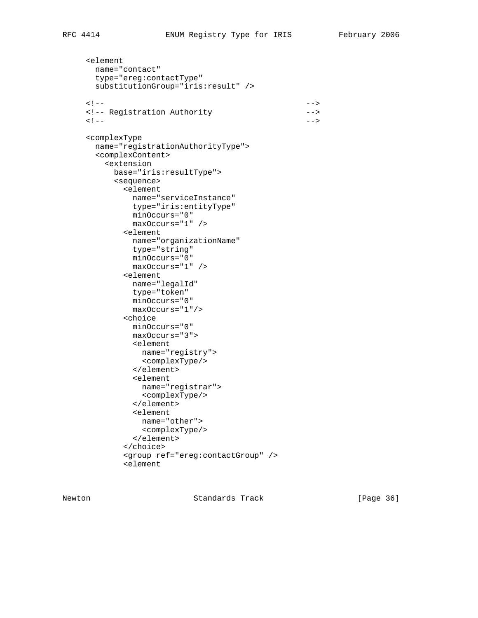<element

name="contact"

```
 type="ereg:contactType"
       substitutionGroup="iris:result" />
\langle | -- | <!-- Registration Authority -->
\langle | -- | <complexType
       name="registrationAuthorityType">
       <complexContent>
         <extension
          base="iris:resultType">
           <sequence>
            <element
              name="serviceInstance"
              type="iris:entityType"
              minOccurs="0"
              maxOccurs="1" />
             <element
              name="organizationName"
              type="string"
              minOccurs="0"
              maxOccurs="1" />
             <element
              name="legalId"
              type="token"
              minOccurs="0"
              maxOccurs="1"/>
            <choice
              minOccurs="0"
              maxOccurs="3">
              <element
                name="registry">
                <complexType/>
              </element>
              <element
                name="registrar">
                <complexType/>
              </element>
              <element
                name="other">
                <complexType/>
              </element>
             </choice>
             <group ref="ereg:contactGroup" />
             <element
```
Newton **Standards Track** [Page 36]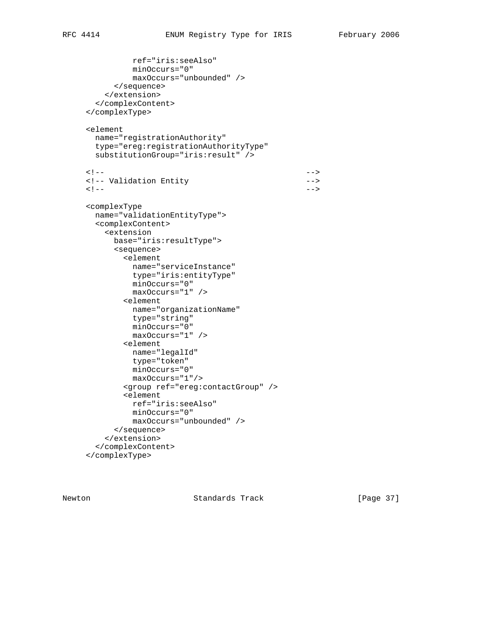```
 ref="iris:seeAlso"
              minOccurs="0"
              maxOccurs="unbounded" />
           </sequence>
         </extension>
       </complexContent>
     </complexType>
     <element
       name="registrationAuthority"
       type="ereg:registrationAuthorityType"
       substitutionGroup="iris:result" />
\langle | -- | <!-- Validation Entity -->
\langle | -- | <complexType
      name="validationEntityType">
       <complexContent>
         <extension
          base="iris:resultType">
          <sequence>
            <element
              name="serviceInstance"
              type="iris:entityType"
              minOccurs="0"
              maxOccurs="1" />
            <element
             name="organizationName"
              type="string"
             minOccurs="0"
              maxOccurs="1" />
            <element
              name="legalId"
              type="token"
              minOccurs="0"
              maxOccurs="1"/>
             <group ref="ereg:contactGroup" />
            <element
              ref="iris:seeAlso"
              minOccurs="0"
              maxOccurs="unbounded" />
           </sequence>
         </extension>
       </complexContent>
     </complexType>
```
Newton **Standards Track** [Page 37]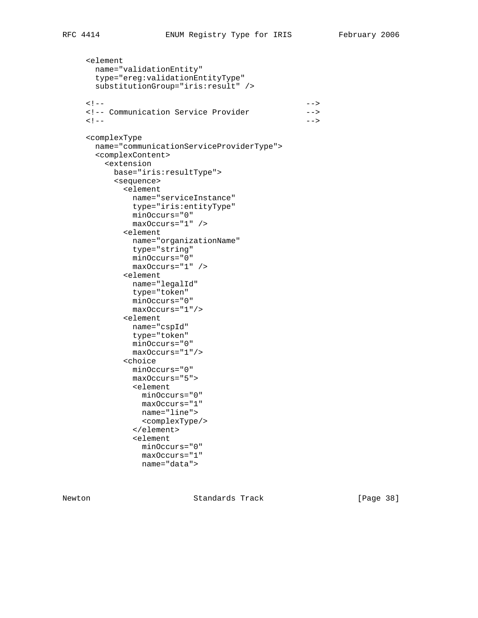```
 <element
       name="validationEntity"
       type="ereg:validationEntityType"
       substitutionGroup="iris:result" />
\langle | -- | <!-- Communication Service Provider -->
\langle | -- | <complexType
       name="communicationServiceProviderType">
       <complexContent>
         <extension
           base="iris:resultType">
           <sequence>
            <element
              name="serviceInstance"
              type="iris:entityType"
              minOccurs="0"
              maxOccurs="1" />
             <element
              name="organizationName"
              type="string"
              minOccurs="0"
              maxOccurs="1" />
             <element
              name="legalId"
              type="token"
              minOccurs="0"
              maxOccurs="1"/>
             <element
             name="cspId"
              type="token"
              minOccurs="0"
              maxOccurs="1"/>
             <choice
              minOccurs="0"
              maxOccurs="5">
               <element
                minOccurs="0"
                maxOccurs="1"
                name="line">
                <complexType/>
               </element>
               <element
                minOccurs="0"
                maxOccurs="1"
                name="data">
```
Newton **Standards Track** [Page 38]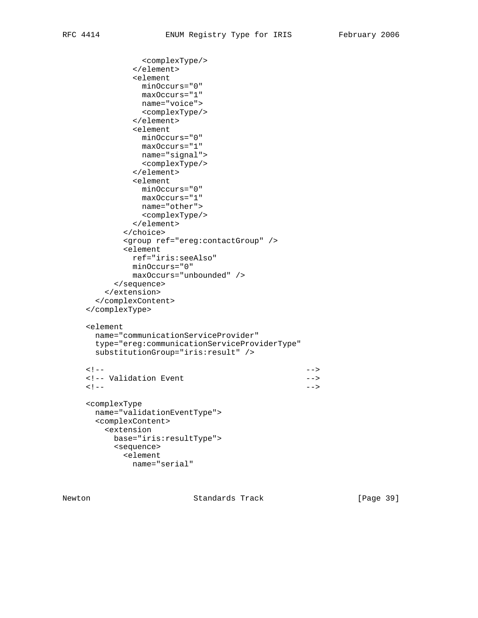```
 <complexType/>
               </element>
               <element
                minOccurs="0"
                maxOccurs="1"
               name="voice">
                <complexType/>
               </element>
               <element
                minOccurs="0"
                maxOccurs="1"
               name="signal">
                <complexType/>
               </element>
               <element
                minOccurs="0"
                maxOccurs="1"
                name="other">
                <complexType/>
               </element>
             </choice>
             <group ref="ereg:contactGroup" />
             <element
              ref="iris:seeAlso"
              minOccurs="0"
              maxOccurs="unbounded" />
           </sequence>
         </extension>
       </complexContent>
     </complexType>
     <element
       name="communicationServiceProvider"
       type="ereg:communicationServiceProviderType"
       substitutionGroup="iris:result" />
\langle | -- |<!-- Validation Event --> --> --> --> --> ---
\langle | -- | <complexType
       name="validationEventType">
       <complexContent>
         <extension
          base="iris:resultType">
           <sequence>
             <element
              name="serial"
```
Newton **Standards Track** [Page 39]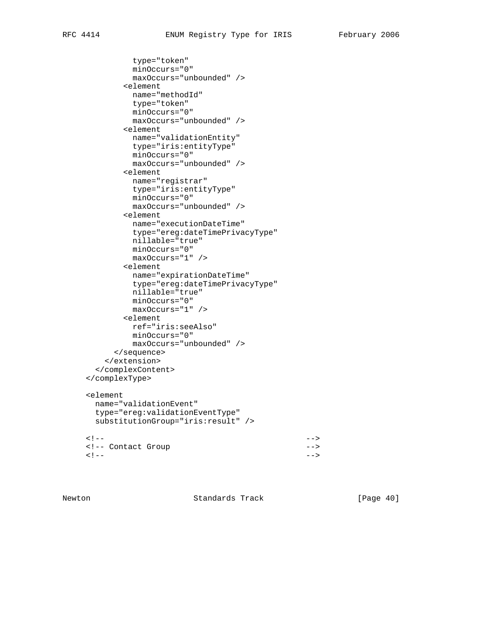```
 type="token"
              minOccurs="0"
              maxOccurs="unbounded" />
             <element
              name="methodId"
              type="token"
              minOccurs="0"
              maxOccurs="unbounded" />
             <element
              name="validationEntity"
              type="iris:entityType"
              minOccurs="0"
              maxOccurs="unbounded" />
            <element
              name="registrar"
              type="iris:entityType"
              minOccurs="0"
              maxOccurs="unbounded" />
            <element
              name="executionDateTime"
              type="ereg:dateTimePrivacyType"
              nillable="true"
              minOccurs="0"
              maxOccurs="1" />
             <element
              name="expirationDateTime"
              type="ereg:dateTimePrivacyType"
              nillable="true"
              minOccurs="0"
              maxOccurs="1" />
            <element
              ref="iris:seeAlso"
              minOccurs="0"
              maxOccurs="unbounded" />
           </sequence>
         </extension>
       </complexContent>
     </complexType>
     <element
       name="validationEvent"
       type="ereg:validationEventType"
       substitutionGroup="iris:result" />
\langle | -- | <!-- Contact Group -->
\langle | -- |
```
Newton **Standards Track** [Page 40]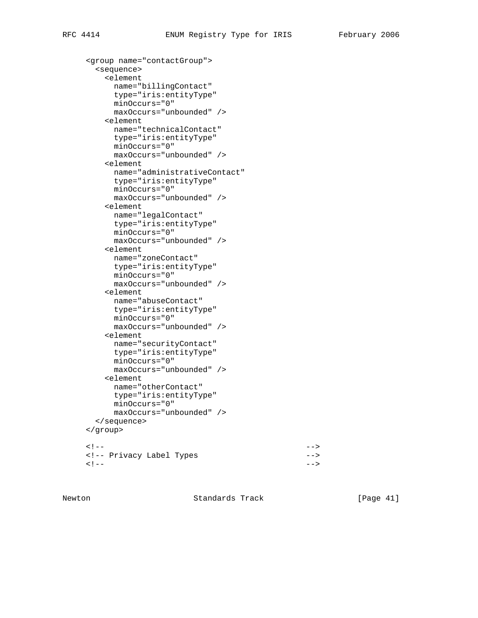```
 <group name="contactGroup">
       <sequence>
         <element
           name="billingContact"
           type="iris:entityType"
           minOccurs="0"
           maxOccurs="unbounded" />
         <element
           name="technicalContact"
           type="iris:entityType"
           minOccurs="0"
           maxOccurs="unbounded" />
         <element
           name="administrativeContact"
           type="iris:entityType"
           minOccurs="0"
           maxOccurs="unbounded" />
         <element
          name="legalContact"
           type="iris:entityType"
           minOccurs="0"
           maxOccurs="unbounded" />
         <element
           name="zoneContact"
           type="iris:entityType"
           minOccurs="0"
           maxOccurs="unbounded" />
         <element
           name="abuseContact"
           type="iris:entityType"
           minOccurs="0"
           maxOccurs="unbounded" />
         <element
           name="securityContact"
           type="iris:entityType"
           minOccurs="0"
           maxOccurs="unbounded" />
         <element
           name="otherContact"
           type="iris:entityType"
           minOccurs="0"
           maxOccurs="unbounded" />
       </sequence>
     </group>
\langle | -- | <!-- Privacy Label Types -->
\langle | -- |
```
Newton **Standards Track** [Page 41]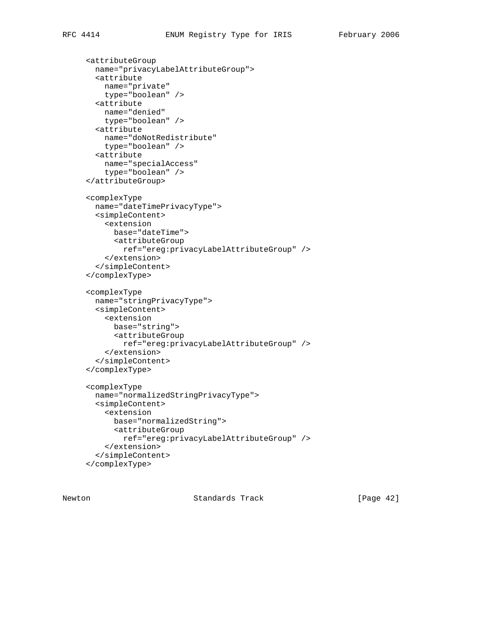```
 <attributeGroup
  name="privacyLabelAttributeGroup">
   <attribute
    name="private"
    type="boolean" />
   <attribute
    name="denied"
    type="boolean" />
   <attribute
    name="doNotRedistribute"
    type="boolean" />
   <attribute
    name="specialAccess"
     type="boolean" />
 </attributeGroup>
 <complexType
  name="dateTimePrivacyType">
  <simpleContent>
    <extension
      base="dateTime">
       <attributeGroup
         ref="ereg:privacyLabelAttributeGroup" />
     </extension>
   </simpleContent>
 </complexType>
 <complexType
  name="stringPrivacyType">
   <simpleContent>
     <extension
      base="string">
       <attributeGroup
         ref="ereg:privacyLabelAttributeGroup" />
     </extension>
   </simpleContent>
 </complexType>
 <complexType
  name="normalizedStringPrivacyType">
   <simpleContent>
     <extension
      base="normalizedString">
       <attributeGroup
         ref="ereg:privacyLabelAttributeGroup" />
     </extension>
   </simpleContent>
 </complexType>
```
Newton **Standards Track** [Page 42]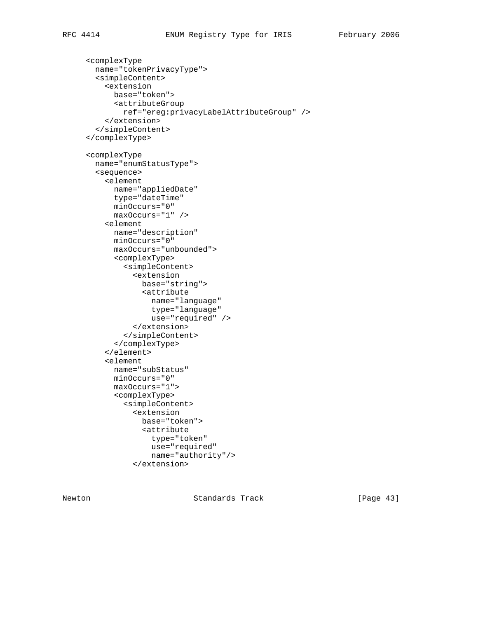```
 <complexType
  name="tokenPrivacyType">
   <simpleContent>
     <extension
       base="token">
       <attributeGroup
         ref="ereg:privacyLabelAttributeGroup" />
     </extension>
   </simpleContent>
 </complexType>
 <complexType
  name="enumStatusType">
   <sequence>
     <element
       name="appliedDate"
       type="dateTime"
       minOccurs="0"
       maxOccurs="1" />
     <element
       name="description"
       minOccurs="0"
       maxOccurs="unbounded">
       <complexType>
         <simpleContent>
           <extension
             base="string">
             <attribute
               name="language"
               type="language"
               use="required" />
           </extension>
         </simpleContent>
       </complexType>
     </element>
     <element
       name="subStatus"
       minOccurs="0"
       maxOccurs="1">
       <complexType>
         <simpleContent>
           <extension
             base="token">
             <attribute
               type="token"
               use="required"
               name="authority"/>
           </extension>
```
Newton **Standards Track** [Page 43]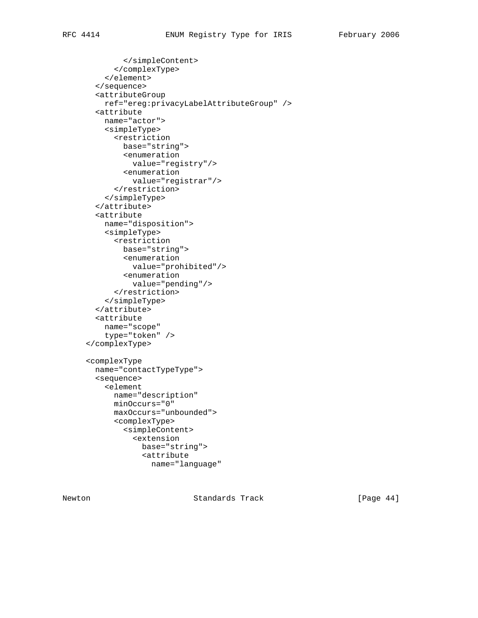</simpleContent> </complexType> </element> </sequence> <attributeGroup ref="ereg:privacyLabelAttributeGroup" /> <attribute name="actor"> <simpleType> <restriction base="string"> <enumeration value="registry"/> <enumeration value="registrar"/> </restriction> </simpleType> </attribute> <attribute name="disposition"> <simpleType> <restriction base="string"> <enumeration value="prohibited"/> <enumeration value="pending"/> </restriction> </simpleType> </attribute> <attribute name="scope" type="token" /> </complexType> <complexType name="contactTypeType"> <sequence> <element name="description" minOccurs="0" maxOccurs="unbounded"> <complexType> <simpleContent> <extension base="string"> <attribute name="language"

Newton **Standards Track** [Page 44]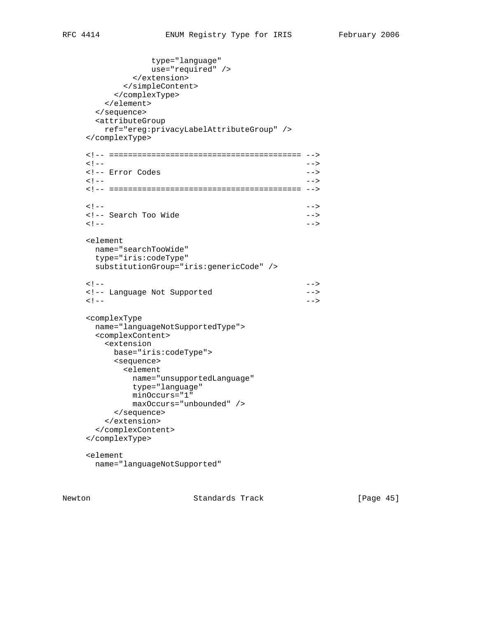```
 type="language"
               use="required" />
            </extension>
          </simpleContent>
         </complexType>
       </element>
      </sequence>
      <attributeGroup
       ref="ereg:privacyLabelAttributeGroup" />
    </complexType>
    <!-- ========================================= -->
\langle | -- |<!-- Error Codes -->
\langle | -- | <!-- ========================================= -->
\langle | -- |<!-- Search Too Wide \longrightarrow\langle | -- | <element
     name="searchTooWide"
     type="iris:codeType"
     substitutionGroup="iris:genericCode" />
\langle | -- | <!-- Language Not Supported -->
\langle | -- | <complexType
     name="languageNotSupportedType">
      <complexContent>
       <extension
        base="iris:codeType">
         <sequence>
          <element
           name="unsupportedLanguage"
            type="language"
            minOccurs="1"
           maxOccurs="unbounded" />
         </sequence>
       </extension>
      </complexContent>
    </complexType>
    <element
      name="languageNotSupported"
```
Newton **Standards Track** [Page 45]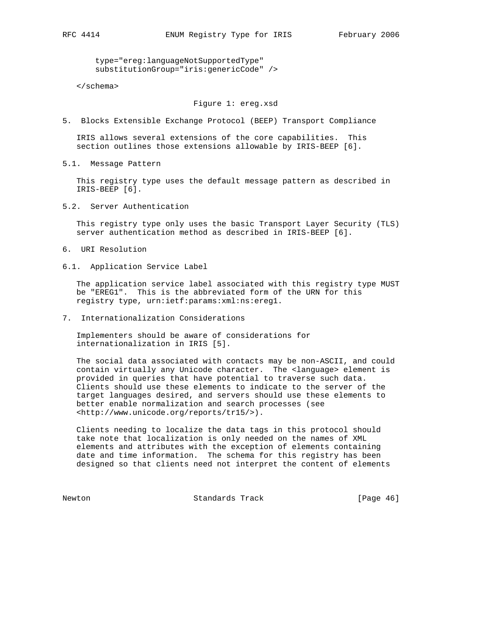type="ereg:languageNotSupportedType" substitutionGroup="iris:genericCode" />

</schema>

## Figure 1: ereg.xsd

5. Blocks Extensible Exchange Protocol (BEEP) Transport Compliance

 IRIS allows several extensions of the core capabilities. This section outlines those extensions allowable by IRIS-BEEP [6].

5.1. Message Pattern

 This registry type uses the default message pattern as described in IRIS-BEEP [6].

5.2. Server Authentication

 This registry type only uses the basic Transport Layer Security (TLS) server authentication method as described in IRIS-BEEP [6].

- 6. URI Resolution
- 6.1. Application Service Label

 The application service label associated with this registry type MUST be "EREG1". This is the abbreviated form of the URN for this registry type, urn:ietf:params:xml:ns:ereg1.

7. Internationalization Considerations

 Implementers should be aware of considerations for internationalization in IRIS [5].

 The social data associated with contacts may be non-ASCII, and could contain virtually any Unicode character. The <language> element is provided in queries that have potential to traverse such data. Clients should use these elements to indicate to the server of the target languages desired, and servers should use these elements to better enable normalization and search processes (see <http://www.unicode.org/reports/tr15/>).

 Clients needing to localize the data tags in this protocol should take note that localization is only needed on the names of XML elements and attributes with the exception of elements containing date and time information. The schema for this registry has been designed so that clients need not interpret the content of elements

Newton **Standards Track** [Page 46]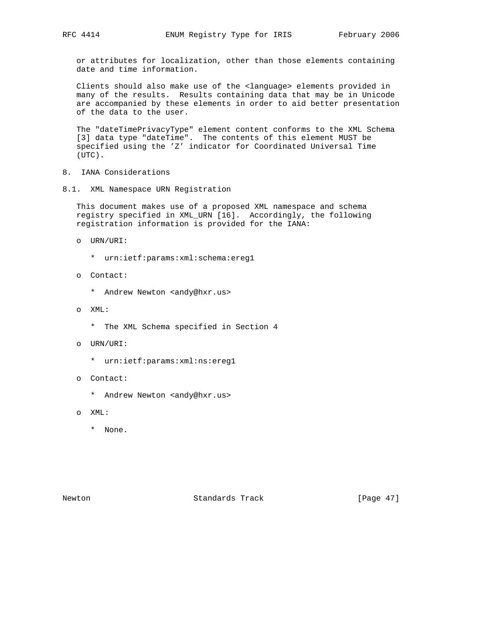or attributes for localization, other than those elements containing date and time information.

 Clients should also make use of the <language> elements provided in many of the results. Results containing data that may be in Unicode are accompanied by these elements in order to aid better presentation of the data to the user.

 The "dateTimePrivacyType" element content conforms to the XML Schema [3] data type "dateTime". The contents of this element MUST be specified using the 'Z' indicator for Coordinated Universal Time (UTC).

- 8. IANA Considerations
- 8.1. XML Namespace URN Registration

 This document makes use of a proposed XML namespace and schema registry specified in XML\_URN [16]. Accordingly, the following registration information is provided for the IANA:

- o URN/URI:
	- \* urn:ietf:params:xml:schema:ereg1
- o Contact:
	- \* Andrew Newton <andy@hxr.us>
- o XML:
	- \* The XML Schema specified in Section 4
- o URN/URI:
	- \* urn:ietf:params:xml:ns:ereg1
- o Contact:
	- \* Andrew Newton <andy@hxr.us>
- o XML:
	- \* None.

Newton **Standards Track** [Page 47]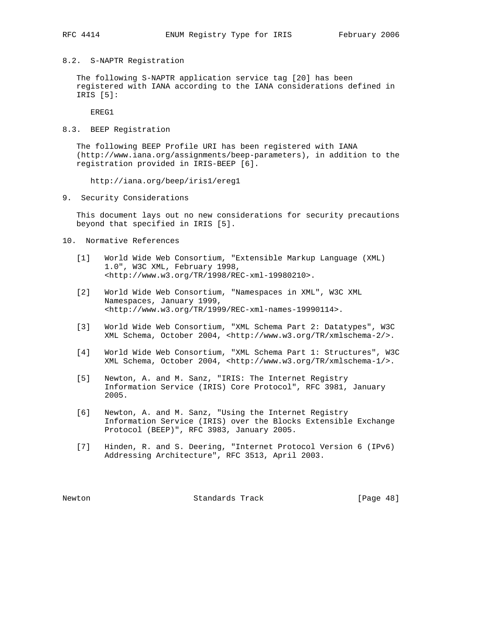- 
- 8.2. S-NAPTR Registration

 The following S-NAPTR application service tag [20] has been registered with IANA according to the IANA considerations defined in IRIS [5]:

EREG1

8.3. BEEP Registration

 The following BEEP Profile URI has been registered with IANA (http://www.iana.org/assignments/beep-parameters), in addition to the registration provided in IRIS-BEEP [6].

http://iana.org/beep/iris1/ereg1

9. Security Considerations

 This document lays out no new considerations for security precautions beyond that specified in IRIS [5].

- 10. Normative References
	- [1] World Wide Web Consortium, "Extensible Markup Language (XML) 1.0", W3C XML, February 1998, <http://www.w3.org/TR/1998/REC-xml-19980210>.
	- [2] World Wide Web Consortium, "Namespaces in XML", W3C XML Namespaces, January 1999, <http://www.w3.org/TR/1999/REC-xml-names-19990114>.
	- [3] World Wide Web Consortium, "XML Schema Part 2: Datatypes", W3C XML Schema, October 2004, <http://www.w3.org/TR/xmlschema-2/>.
	- [4] World Wide Web Consortium, "XML Schema Part 1: Structures", W3C XML Schema, October 2004, <http://www.w3.org/TR/xmlschema-1/>.
	- [5] Newton, A. and M. Sanz, "IRIS: The Internet Registry Information Service (IRIS) Core Protocol", RFC 3981, January 2005.
	- [6] Newton, A. and M. Sanz, "Using the Internet Registry Information Service (IRIS) over the Blocks Extensible Exchange Protocol (BEEP)", RFC 3983, January 2005.
	- [7] Hinden, R. and S. Deering, "Internet Protocol Version 6 (IPv6) Addressing Architecture", RFC 3513, April 2003.

Newton Standards Track [Page 48]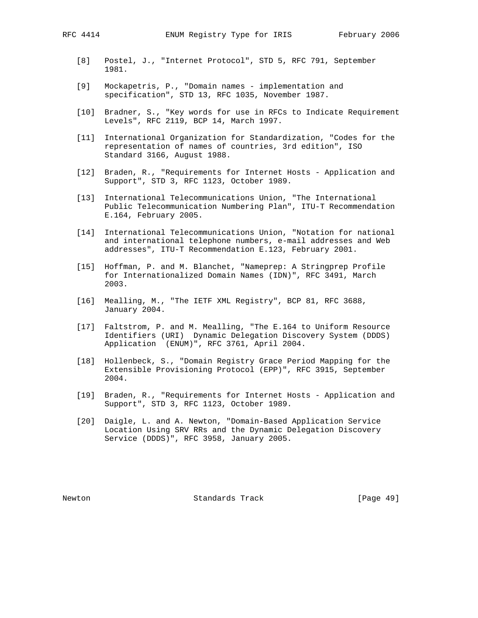- [8] Postel, J., "Internet Protocol", STD 5, RFC 791, September 1981.
- [9] Mockapetris, P., "Domain names implementation and specification", STD 13, RFC 1035, November 1987.
- [10] Bradner, S., "Key words for use in RFCs to Indicate Requirement Levels", RFC 2119, BCP 14, March 1997.
- [11] International Organization for Standardization, "Codes for the representation of names of countries, 3rd edition", ISO Standard 3166, August 1988.
- [12] Braden, R., "Requirements for Internet Hosts Application and Support", STD 3, RFC 1123, October 1989.
- [13] International Telecommunications Union, "The International Public Telecommunication Numbering Plan", ITU-T Recommendation E.164, February 2005.
- [14] International Telecommunications Union, "Notation for national and international telephone numbers, e-mail addresses and Web addresses", ITU-T Recommendation E.123, February 2001.
- [15] Hoffman, P. and M. Blanchet, "Nameprep: A Stringprep Profile for Internationalized Domain Names (IDN)", RFC 3491, March 2003.
- [16] Mealling, M., "The IETF XML Registry", BCP 81, RFC 3688, January 2004.
- [17] Faltstrom, P. and M. Mealling, "The E.164 to Uniform Resource Identifiers (URI) Dynamic Delegation Discovery System (DDDS) Application (ENUM)", RFC 3761, April 2004.
- [18] Hollenbeck, S., "Domain Registry Grace Period Mapping for the Extensible Provisioning Protocol (EPP)", RFC 3915, September 2004.
- [19] Braden, R., "Requirements for Internet Hosts Application and Support", STD 3, RFC 1123, October 1989.
- [20] Daigle, L. and A. Newton, "Domain-Based Application Service Location Using SRV RRs and the Dynamic Delegation Discovery Service (DDDS)", RFC 3958, January 2005.

Newton **Standards Track** [Page 49]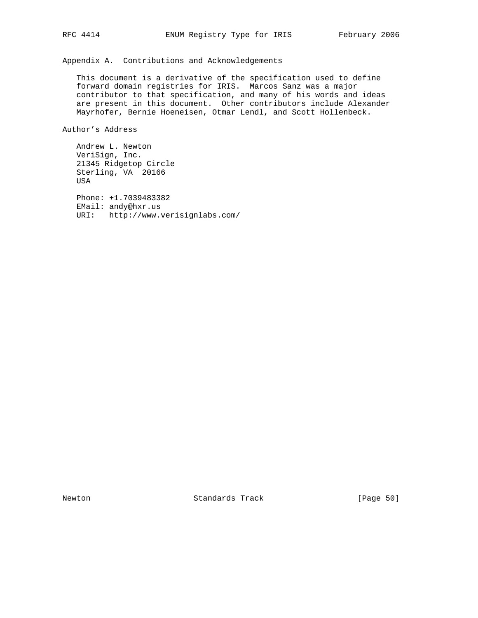Appendix A. Contributions and Acknowledgements

 This document is a derivative of the specification used to define forward domain registries for IRIS. Marcos Sanz was a major contributor to that specification, and many of his words and ideas are present in this document. Other contributors include Alexander Mayrhofer, Bernie Hoeneisen, Otmar Lendl, and Scott Hollenbeck.

Author's Address

 Andrew L. Newton VeriSign, Inc. 21345 Ridgetop Circle Sterling, VA 20166 USA

 Phone: +1.7039483382 EMail: andy@hxr.us URI: http://www.verisignlabs.com/

Newton Standards Track [Page 50]